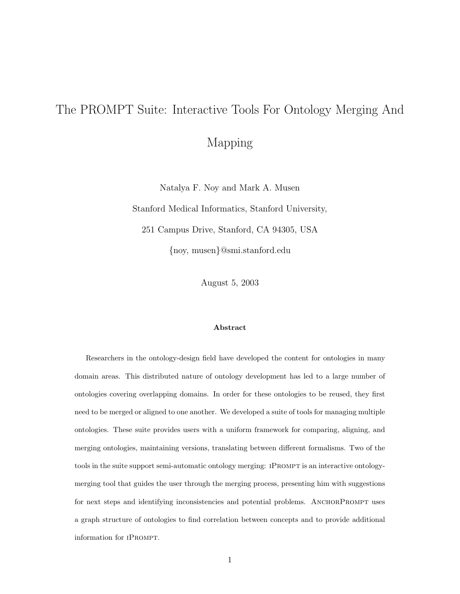# The PROMPT Suite: Interactive Tools For Ontology Merging And

Mapping

Natalya F. Noy and Mark A. Musen

Stanford Medical Informatics, Stanford University,

251 Campus Drive, Stanford, CA 94305, USA

{noy, musen}@smi.stanford.edu

August 5, 2003

#### Abstract

Researchers in the ontology-design field have developed the content for ontologies in many domain areas. This distributed nature of ontology development has led to a large number of ontologies covering overlapping domains. In order for these ontologies to be reused, they first need to be merged or aligned to one another. We developed a suite of tools for managing multiple ontologies. These suite provides users with a uniform framework for comparing, aligning, and merging ontologies, maintaining versions, translating between different formalisms. Two of the tools in the suite support semi-automatic ontology merging: IPROMPT is an interactive ontologymerging tool that guides the user through the merging process, presenting him with suggestions for next steps and identifying inconsistencies and potential problems. ANCHORPROMPT uses a graph structure of ontologies to find correlation between concepts and to provide additional information for iPrompt.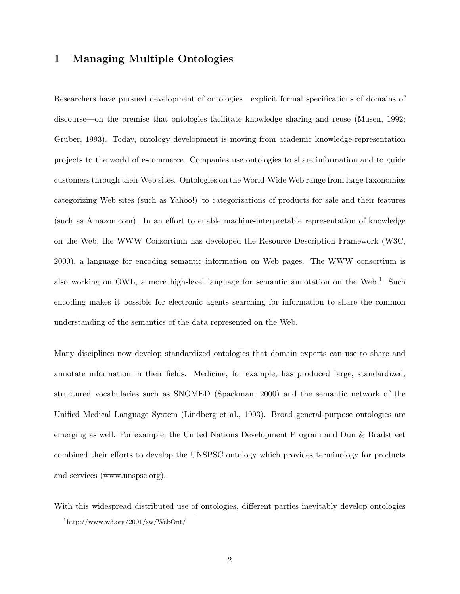# 1 Managing Multiple Ontologies

Researchers have pursued development of ontologies—explicit formal specifications of domains of discourse—on the premise that ontologies facilitate knowledge sharing and reuse (Musen, 1992; Gruber, 1993). Today, ontology development is moving from academic knowledge-representation projects to the world of e-commerce. Companies use ontologies to share information and to guide customers through their Web sites. Ontologies on the World-Wide Web range from large taxonomies categorizing Web sites (such as Yahoo!) to categorizations of products for sale and their features (such as Amazon.com). In an effort to enable machine-interpretable representation of knowledge on the Web, the WWW Consortium has developed the Resource Description Framework (W3C, 2000), a language for encoding semantic information on Web pages. The WWW consortium is also working on OWL, a more high-level language for semantic annotation on the Web.<sup>1</sup> Such encoding makes it possible for electronic agents searching for information to share the common understanding of the semantics of the data represented on the Web.

Many disciplines now develop standardized ontologies that domain experts can use to share and annotate information in their fields. Medicine, for example, has produced large, standardized, structured vocabularies such as SNOMED (Spackman, 2000) and the semantic network of the Unified Medical Language System (Lindberg et al., 1993). Broad general-purpose ontologies are emerging as well. For example, the United Nations Development Program and Dun & Bradstreet combined their efforts to develop the UNSPSC ontology which provides terminology for products and services (www.unspsc.org).

With this widespread distributed use of ontologies, different parties inevitably develop ontologies <sup>1</sup>http://www.w3.org/2001/sw/WebOnt/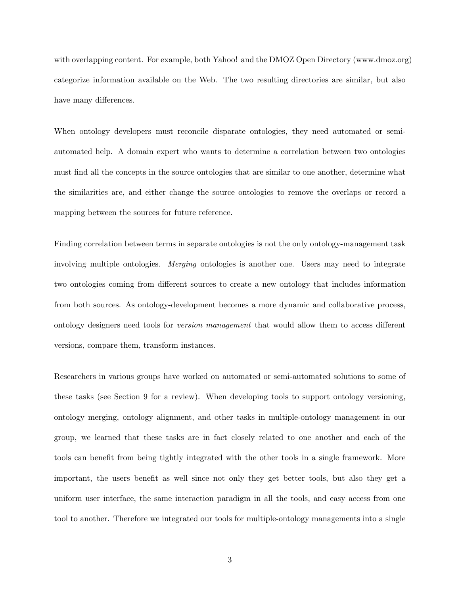with overlapping content. For example, both Yahoo! and the DMOZ Open Directory (www.dmoz.org) categorize information available on the Web. The two resulting directories are similar, but also have many differences.

When ontology developers must reconcile disparate ontologies, they need automated or semiautomated help. A domain expert who wants to determine a correlation between two ontologies must find all the concepts in the source ontologies that are similar to one another, determine what the similarities are, and either change the source ontologies to remove the overlaps or record a mapping between the sources for future reference.

Finding correlation between terms in separate ontologies is not the only ontology-management task involving multiple ontologies. *Merging* ontologies is another one. Users may need to integrate two ontologies coming from different sources to create a new ontology that includes information from both sources. As ontology-development becomes a more dynamic and collaborative process, ontology designers need tools for version management that would allow them to access different versions, compare them, transform instances.

Researchers in various groups have worked on automated or semi-automated solutions to some of these tasks (see Section 9 for a review). When developing tools to support ontology versioning, ontology merging, ontology alignment, and other tasks in multiple-ontology management in our group, we learned that these tasks are in fact closely related to one another and each of the tools can benefit from being tightly integrated with the other tools in a single framework. More important, the users benefit as well since not only they get better tools, but also they get a uniform user interface, the same interaction paradigm in all the tools, and easy access from one tool to another. Therefore we integrated our tools for multiple-ontology managements into a single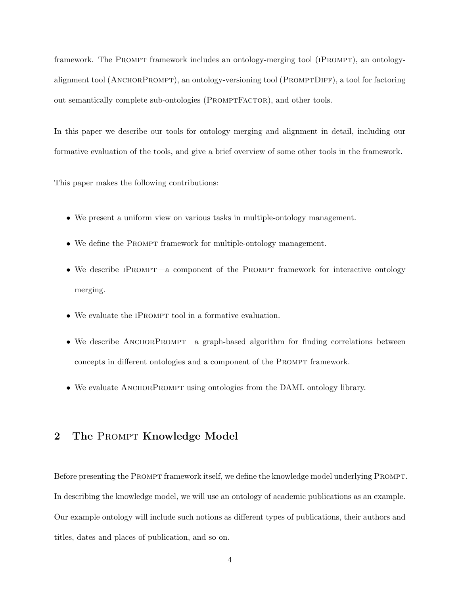framework. The PROMPT framework includes an ontology-merging tool (IPROMPT), an ontologyalignment tool (ANCHORPROMPT), an ontology-versioning tool (PROMPTDIFF), a tool for factoring out semantically complete sub-ontologies (PromptFactor), and other tools.

In this paper we describe our tools for ontology merging and alignment in detail, including our formative evaluation of the tools, and give a brief overview of some other tools in the framework.

This paper makes the following contributions:

- We present a uniform view on various tasks in multiple-ontology management.
- We define the PROMPT framework for multiple-ontology management.
- We describe IPROMPT—a component of the PROMPT framework for interactive ontology merging.
- We evaluate the IPROMPT tool in a formative evaluation.
- We describe ANCHORPROMPT—a graph-based algorithm for finding correlations between concepts in different ontologies and a component of the PROMPT framework.
- We evaluate ANCHORPROMPT using ontologies from the DAML ontology library.

## 2 The PROMPT Knowledge Model

Before presenting the PROMPT framework itself, we define the knowledge model underlying PROMPT. In describing the knowledge model, we will use an ontology of academic publications as an example. Our example ontology will include such notions as different types of publications, their authors and titles, dates and places of publication, and so on.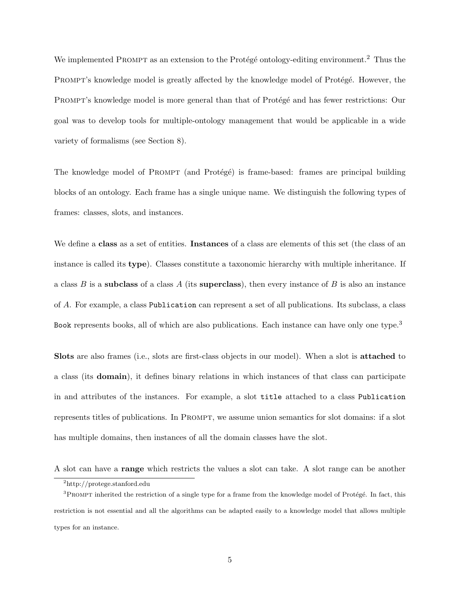We implemented PROMPT as an extension to the Protégé ontology-editing environment.<sup>2</sup> Thus the PROMPT's knowledge model is greatly affected by the knowledge model of Protégé. However, the PROMPT's knowledge model is more general than that of Protégé and has fewer restrictions: Our goal was to develop tools for multiple-ontology management that would be applicable in a wide variety of formalisms (see Section 8).

The knowledge model of PROMPT (and Protege) is frame-based: frames are principal building blocks of an ontology. Each frame has a single unique name. We distinguish the following types of frames: classes, slots, and instances.

We define a **class** as a set of entities. **Instances** of a class are elements of this set (the class of an instance is called its type). Classes constitute a taxonomic hierarchy with multiple inheritance. If a class  $B$  is a subclass of a class  $A$  (its superclass), then every instance of  $B$  is also an instance of A. For example, a class Publication can represent a set of all publications. Its subclass, a class Book represents books, all of which are also publications. Each instance can have only one type.<sup>3</sup>

Slots are also frames (i.e., slots are first-class objects in our model). When a slot is attached to a class (its domain), it defines binary relations in which instances of that class can participate in and attributes of the instances. For example, a slot title attached to a class Publication represents titles of publications. In Prompt, we assume union semantics for slot domains: if a slot has multiple domains, then instances of all the domain classes have the slot.

A slot can have a range which restricts the values a slot can take. A slot range can be another

<sup>2</sup>http://protege.stanford.edu

 $3P_{\text{ROMPT}}$  inherited the restriction of a single type for a frame from the knowledge model of Protégé. In fact, this restriction is not essential and all the algorithms can be adapted easily to a knowledge model that allows multiple types for an instance.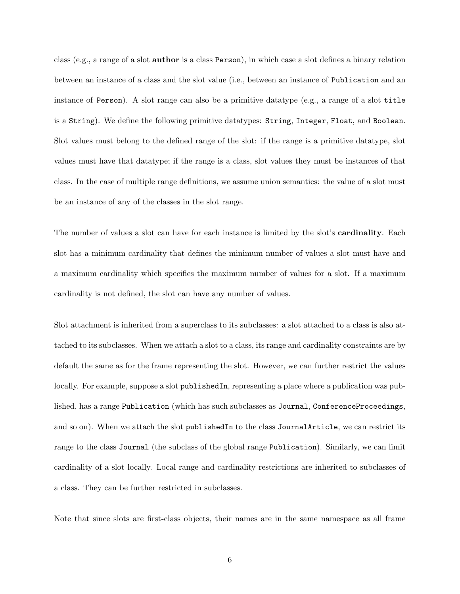class (e.g., a range of a slot author is a class Person), in which case a slot defines a binary relation between an instance of a class and the slot value (i.e., between an instance of Publication and an instance of Person). A slot range can also be a primitive datatype (e.g., a range of a slot title is a String). We define the following primitive datatypes: String, Integer, Float, and Boolean. Slot values must belong to the defined range of the slot: if the range is a primitive datatype, slot values must have that datatype; if the range is a class, slot values they must be instances of that class. In the case of multiple range definitions, we assume union semantics: the value of a slot must be an instance of any of the classes in the slot range.

The number of values a slot can have for each instance is limited by the slot's **cardinality**. Each slot has a minimum cardinality that defines the minimum number of values a slot must have and a maximum cardinality which specifies the maximum number of values for a slot. If a maximum cardinality is not defined, the slot can have any number of values.

Slot attachment is inherited from a superclass to its subclasses: a slot attached to a class is also attached to its subclasses. When we attach a slot to a class, its range and cardinality constraints are by default the same as for the frame representing the slot. However, we can further restrict the values locally. For example, suppose a slot publishedIn, representing a place where a publication was published, has a range Publication (which has such subclasses as Journal, ConferenceProceedings, and so on). When we attach the slot publishedIn to the class JournalArticle, we can restrict its range to the class Journal (the subclass of the global range Publication). Similarly, we can limit cardinality of a slot locally. Local range and cardinality restrictions are inherited to subclasses of a class. They can be further restricted in subclasses.

Note that since slots are first-class objects, their names are in the same namespace as all frame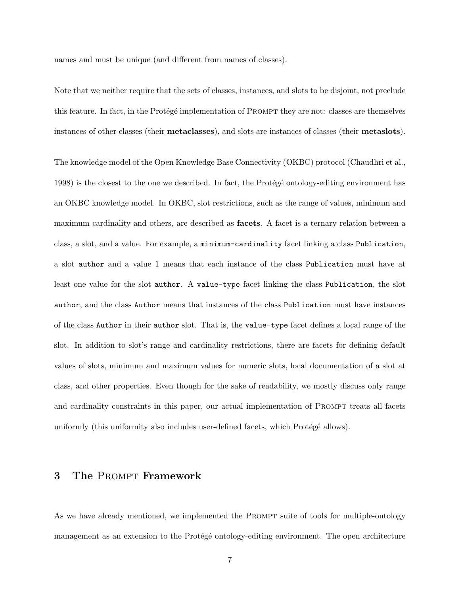names and must be unique (and different from names of classes).

Note that we neither require that the sets of classes, instances, and slots to be disjoint, not preclude this feature. In fact, in the Protégé implementation of PROMPT they are not: classes are themselves instances of other classes (their metaclasses), and slots are instances of classes (their metaslots).

The knowledge model of the Open Knowledge Base Connectivity (OKBC) protocol (Chaudhri et al., 1998) is the closest to the one we described. In fact, the Protégé ontology-editing environment has an OKBC knowledge model. In OKBC, slot restrictions, such as the range of values, minimum and maximum cardinality and others, are described as facets. A facet is a ternary relation between a class, a slot, and a value. For example, a minimum-cardinality facet linking a class Publication, a slot author and a value 1 means that each instance of the class Publication must have at least one value for the slot author. A value-type facet linking the class Publication, the slot author, and the class Author means that instances of the class Publication must have instances of the class Author in their author slot. That is, the value-type facet defines a local range of the slot. In addition to slot's range and cardinality restrictions, there are facets for defining default values of slots, minimum and maximum values for numeric slots, local documentation of a slot at class, and other properties. Even though for the sake of readability, we mostly discuss only range and cardinality constraints in this paper, our actual implementation of PROMPT treats all facets uniformly (this uniformity also includes user-defined facets, which Protégé allows).

# 3 The PROMPT Framework

As we have already mentioned, we implemented the PROMPT suite of tools for multiple-ontology management as an extension to the Protégé ontology-editing environment. The open architecture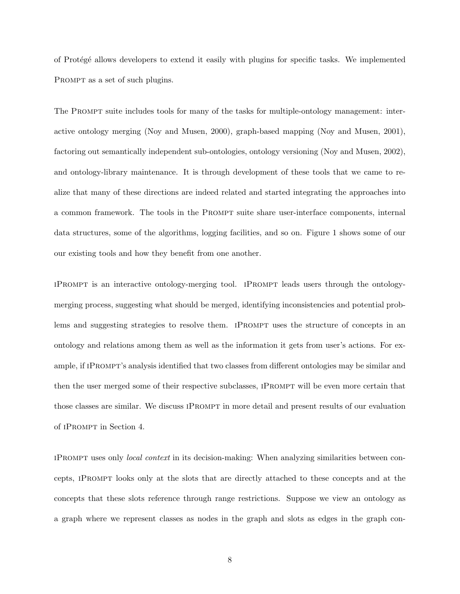of Prot´eg´e allows developers to extend it easily with plugins for specific tasks. We implemented PROMPT as a set of such plugins.

The PROMPT suite includes tools for many of the tasks for multiple-ontology management: interactive ontology merging (Noy and Musen, 2000), graph-based mapping (Noy and Musen, 2001), factoring out semantically independent sub-ontologies, ontology versioning (Noy and Musen, 2002), and ontology-library maintenance. It is through development of these tools that we came to realize that many of these directions are indeed related and started integrating the approaches into a common framework. The tools in the PROMPT suite share user-interface components, internal data structures, some of the algorithms, logging facilities, and so on. Figure 1 shows some of our our existing tools and how they benefit from one another.

iPrompt is an interactive ontology-merging tool. iPrompt leads users through the ontologymerging process, suggesting what should be merged, identifying inconsistencies and potential problems and suggesting strategies to resolve them. IPROMPT uses the structure of concepts in an ontology and relations among them as well as the information it gets from user's actions. For example, if iPrompt's analysis identified that two classes from different ontologies may be similar and then the user merged some of their respective subclasses, iPrompt will be even more certain that those classes are similar. We discuss IPROMPT in more detail and present results of our evaluation of iPrompt in Section 4.

iPrompt uses only local context in its decision-making: When analyzing similarities between concepts, iPrompt looks only at the slots that are directly attached to these concepts and at the concepts that these slots reference through range restrictions. Suppose we view an ontology as a graph where we represent classes as nodes in the graph and slots as edges in the graph con-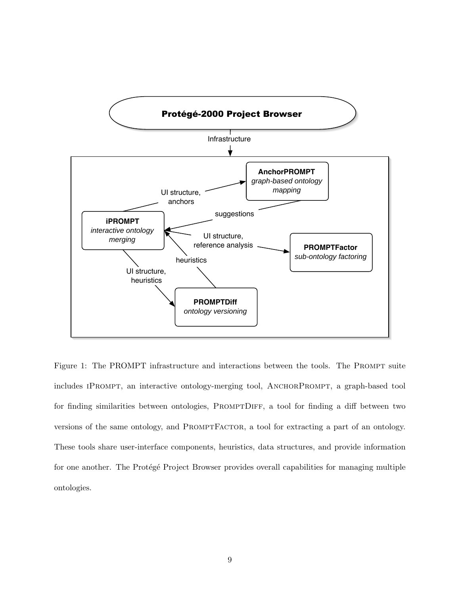

Figure 1: The PROMPT infrastructure and interactions between the tools. The PROMPT suite includes IPROMPT, an interactive ontology-merging tool, ANCHORPROMPT, a graph-based tool for finding similarities between ontologies, PROMPTDIFF, a tool for finding a diff between two versions of the same ontology, and PROMPTFACTOR, a tool for extracting a part of an ontology. These tools share user-interface components, heuristics, data structures, and provide information for one another. The Protégé Project Browser provides overall capabilities for managing multiple ontologies.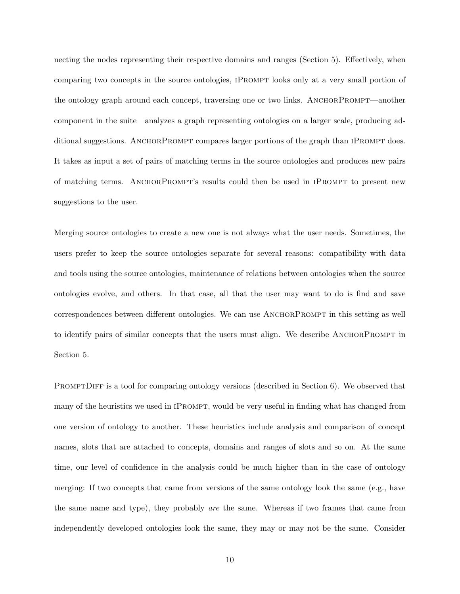necting the nodes representing their respective domains and ranges (Section 5). Effectively, when comparing two concepts in the source ontologies, iPrompt looks only at a very small portion of the ontology graph around each concept, traversing one or two links. ANCHORPROMPT—another component in the suite—analyzes a graph representing ontologies on a larger scale, producing additional suggestions. ANCHORPROMPT compares larger portions of the graph than IPROMPT does. It takes as input a set of pairs of matching terms in the source ontologies and produces new pairs of matching terms. AnchorPrompt's results could then be used in iPrompt to present new suggestions to the user.

Merging source ontologies to create a new one is not always what the user needs. Sometimes, the users prefer to keep the source ontologies separate for several reasons: compatibility with data and tools using the source ontologies, maintenance of relations between ontologies when the source ontologies evolve, and others. In that case, all that the user may want to do is find and save correspondences between different ontologies. We can use ANCHORPROMPT in this setting as well to identify pairs of similar concepts that the users must align. We describe ANCHORPROMPT in Section 5.

PROMPTDIFF is a tool for comparing ontology versions (described in Section 6). We observed that many of the heuristics we used in iPrompt, would be very useful in finding what has changed from one version of ontology to another. These heuristics include analysis and comparison of concept names, slots that are attached to concepts, domains and ranges of slots and so on. At the same time, our level of confidence in the analysis could be much higher than in the case of ontology merging: If two concepts that came from versions of the same ontology look the same (e.g., have the same name and type), they probably are the same. Whereas if two frames that came from independently developed ontologies look the same, they may or may not be the same. Consider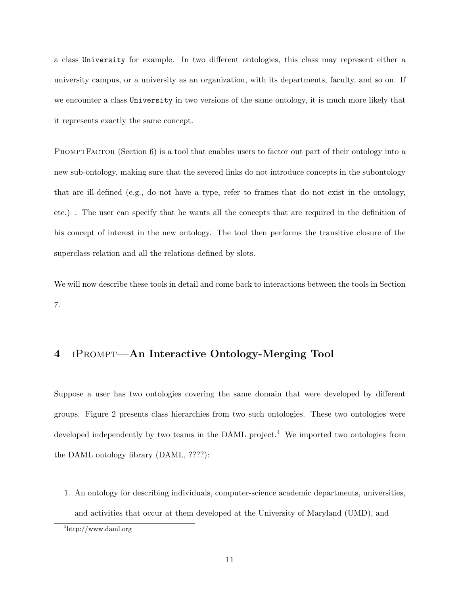a class University for example. In two different ontologies, this class may represent either a university campus, or a university as an organization, with its departments, faculty, and so on. If we encounter a class University in two versions of the same ontology, it is much more likely that it represents exactly the same concept.

PROMPTFACTOR (Section 6) is a tool that enables users to factor out part of their ontology into a new sub-ontology, making sure that the severed links do not introduce concepts in the subontology that are ill-defined (e.g., do not have a type, refer to frames that do not exist in the ontology, etc.) . The user can specify that he wants all the concepts that are required in the definition of his concept of interest in the new ontology. The tool then performs the transitive closure of the superclass relation and all the relations defined by slots.

We will now describe these tools in detail and come back to interactions between the tools in Section 7.

# 4 iPrompt—An Interactive Ontology-Merging Tool

Suppose a user has two ontologies covering the same domain that were developed by different groups. Figure 2 presents class hierarchies from two such ontologies. These two ontologies were developed independently by two teams in the DAML project.<sup>4</sup> We imported two ontologies from the DAML ontology library (DAML, ????):

1. An ontology for describing individuals, computer-science academic departments, universities, and activities that occur at them developed at the University of Maryland (UMD), and

<sup>4</sup>http://www.daml.org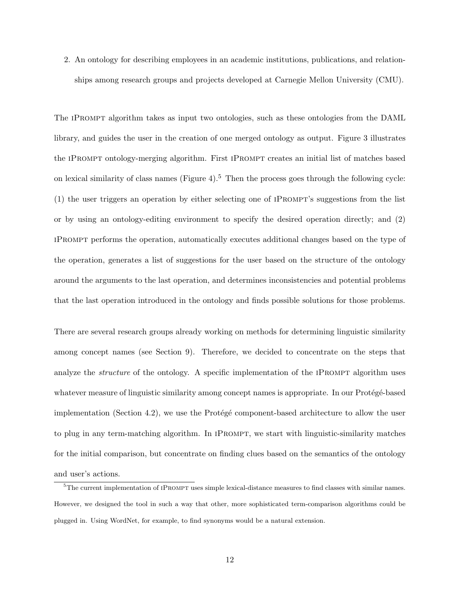2. An ontology for describing employees in an academic institutions, publications, and relationships among research groups and projects developed at Carnegie Mellon University (CMU).

The iPrompt algorithm takes as input two ontologies, such as these ontologies from the DAML library, and guides the user in the creation of one merged ontology as output. Figure 3 illustrates the iPrompt ontology-merging algorithm. First iPrompt creates an initial list of matches based on lexical similarity of class names (Figure 4).<sup>5</sup> Then the process goes through the following cycle: (1) the user triggers an operation by either selecting one of iPrompt's suggestions from the list or by using an ontology-editing environment to specify the desired operation directly; and (2) iPrompt performs the operation, automatically executes additional changes based on the type of the operation, generates a list of suggestions for the user based on the structure of the ontology around the arguments to the last operation, and determines inconsistencies and potential problems that the last operation introduced in the ontology and finds possible solutions for those problems.

There are several research groups already working on methods for determining linguistic similarity among concept names (see Section 9). Therefore, we decided to concentrate on the steps that analyze the *structure* of the ontology. A specific implementation of the IPROMPT algorithm uses whatever measure of linguistic similarity among concept names is appropriate. In our Protégé-based implementation (Section 4.2), we use the Protégé component-based architecture to allow the user to plug in any term-matching algorithm. In IPROMPT, we start with linguistic-similarity matches for the initial comparison, but concentrate on finding clues based on the semantics of the ontology and user's actions.

 $5$ The current implementation of IPROMPT uses simple lexical-distance measures to find classes with similar names. However, we designed the tool in such a way that other, more sophisticated term-comparison algorithms could be plugged in. Using WordNet, for example, to find synonyms would be a natural extension.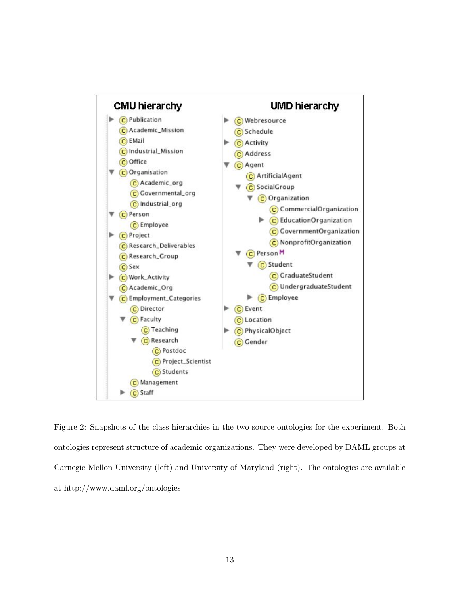

Figure 2: Snapshots of the class hierarchies in the two source ontologies for the experiment. Both ontologies represent structure of academic organizations. They were developed by DAML groups at Carnegie Mellon University (left) and University of Maryland (right). The ontologies are available at http://www.daml.org/ontologies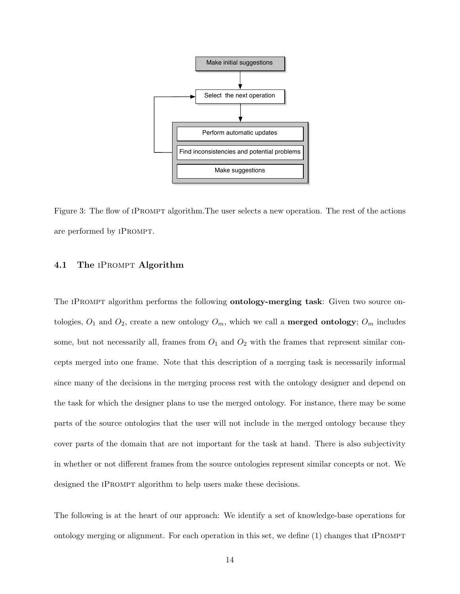

Figure 3: The flow of IPROMPT algorithm. The user selects a new operation. The rest of the actions are performed by iPrompt.

#### 4.1 The IPROMPT Algorithm

The IPROMPT algorithm performs the following **ontology-merging task**: Given two source ontologies,  $O_1$  and  $O_2$ , create a new ontology  $O_m$ , which we call a **merged ontology**;  $O_m$  includes some, but not necessarily all, frames from  $O_1$  and  $O_2$  with the frames that represent similar concepts merged into one frame. Note that this description of a merging task is necessarily informal since many of the decisions in the merging process rest with the ontology designer and depend on the task for which the designer plans to use the merged ontology. For instance, there may be some parts of the source ontologies that the user will not include in the merged ontology because they cover parts of the domain that are not important for the task at hand. There is also subjectivity in whether or not different frames from the source ontologies represent similar concepts or not. We designed the IPROMPT algorithm to help users make these decisions.

The following is at the heart of our approach: We identify a set of knowledge-base operations for ontology merging or alignment. For each operation in this set, we define (1) changes that iPrompt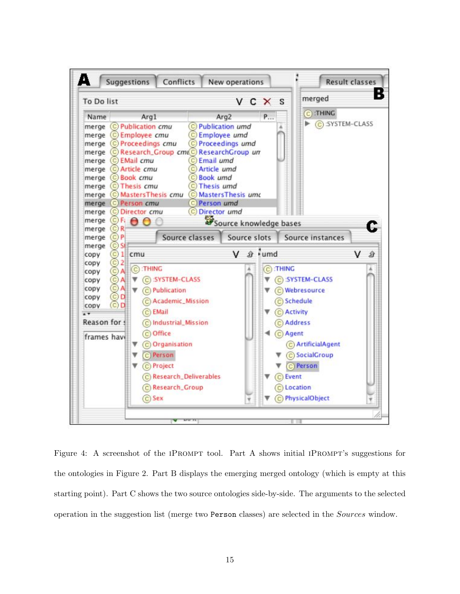

Figure 4: A screenshot of the IPROMPT tool. Part A shows initial IPROMPT's suggestions for the ontologies in Figure 2. Part B displays the emerging merged ontology (which is empty at this starting point). Part C shows the two source ontologies side-by-side. The arguments to the selected operation in the suggestion list (merge two Person classes) are selected in the Sources window.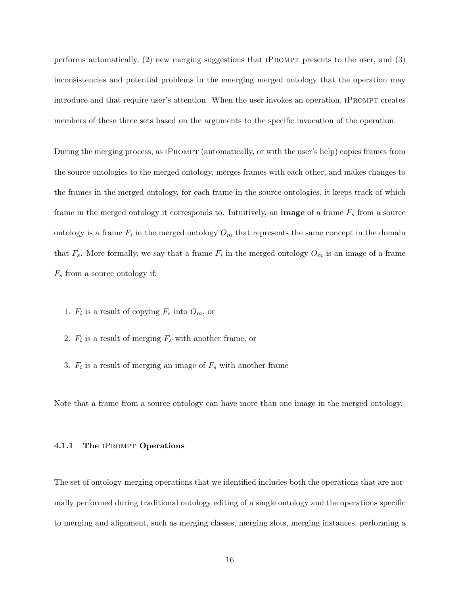performs automatically,  $(2)$  new merging suggestions that IPROMPT presents to the user, and  $(3)$ inconsistencies and potential problems in the emerging merged ontology that the operation may introduce and that require user's attention. When the user invokes an operation, iPrompt creates members of these three sets based on the arguments to the specific invocation of the operation.

During the merging process, as iPrompt (automatically, or with the user's help) copies frames from the source ontologies to the merged ontology, merges frames with each other, and makes changes to the frames in the merged ontology, for each frame in the source ontologies, it keeps track of which frame in the merged ontology it corresponds to. Intuitively, an **image** of a frame  $F_s$  from a source ontology is a frame  $F_i$  in the merged ontology  $O_m$  that represents the same concept in the domain that  $F_s$ . More formally, we say that a frame  $F_i$  in the merged ontology  $O_m$  is an image of a frame  $F_s$  from a source ontology if:

- 1.  $F_i$  is a result of copying  $F_s$  into  $O_m$ , or
- 2.  $F_i$  is a result of merging  $F_s$  with another frame, or
- 3.  $F_i$  is a result of merging an image of  $F_s$  with another frame

Note that a frame from a source ontology can have more than one image in the merged ontology.

#### 4.1.1 The IPROMPT Operations

The set of ontology-merging operations that we identified includes both the operations that are normally performed during traditional ontology editing of a single ontology and the operations specific to merging and alignment, such as merging classes, merging slots, merging instances, performing a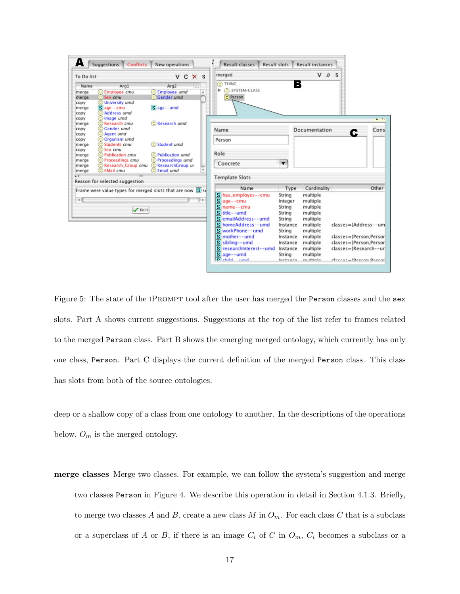

Figure 5: The state of the IPROMPT tool after the user has merged the Person classes and the sex slots. Part A shows current suggestions. Suggestions at the top of the list refer to frames related to the merged Person class. Part B shows the emerging merged ontology, which currently has only one class, Person. Part C displays the current definition of the merged Person class. This class has slots from both of the source ontologies.

deep or a shallow copy of a class from one ontology to another. In the descriptions of the operations below,  $O_m$  is the merged ontology.

merge classes Merge two classes. For example, we can follow the system's suggestion and merge two classes Person in Figure 4. We describe this operation in detail in Section 4.1.3. Briefly, to merge two classes A and B, create a new class M in  $O_m$ . For each class C that is a subclass or a superclass of A or B, if there is an image  $C_i$  of C in  $O_m$ ,  $C_i$  becomes a subclass or a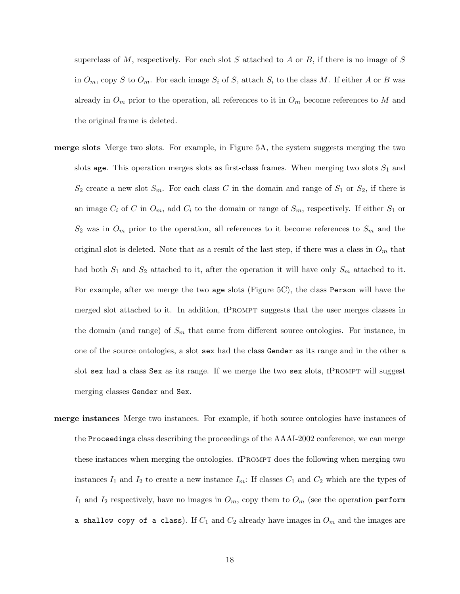superclass of  $M$ , respectively. For each slot  $S$  attached to  $A$  or  $B$ , if there is no image of  $S$ in  $O_m$ , copy S to  $O_m$ . For each image  $S_i$  of S, attach  $S_i$  to the class M. If either A or B was already in  $O_m$  prior to the operation, all references to it in  $O_m$  become references to M and the original frame is deleted.

- merge slots Merge two slots. For example, in Figure 5A, the system suggests merging the two slots age. This operation merges slots as first-class frames. When merging two slots  $S_1$  and  $S_2$  create a new slot  $S_m$ . For each class C in the domain and range of  $S_1$  or  $S_2$ , if there is an image  $C_i$  of C in  $O_m$ , add  $C_i$  to the domain or range of  $S_m$ , respectively. If either  $S_1$  or  $S_2$  was in  $O_m$  prior to the operation, all references to it become references to  $S_m$  and the original slot is deleted. Note that as a result of the last step, if there was a class in  $O_m$  that had both  $S_1$  and  $S_2$  attached to it, after the operation it will have only  $S_m$  attached to it. For example, after we merge the two age slots (Figure 5C), the class Person will have the merged slot attached to it. In addition, iPrompt suggests that the user merges classes in the domain (and range) of  $S_m$  that came from different source ontologies. For instance, in one of the source ontologies, a slot sex had the class Gender as its range and in the other a slot sex had a class Sex as its range. If we merge the two sex slots, IPROMPT will suggest merging classes Gender and Sex.
- merge instances Merge two instances. For example, if both source ontologies have instances of the Proceedings class describing the proceedings of the AAAI-2002 conference, we can merge these instances when merging the ontologies. IPROMPT does the following when merging two instances  $I_1$  and  $I_2$  to create a new instance  $I_m$ : If classes  $C_1$  and  $C_2$  which are the types of  $I_1$  and  $I_2$  respectively, have no images in  $O_m$ , copy them to  $O_m$  (see the operation perform a shallow copy of a class). If  $C_1$  and  $C_2$  already have images in  $O_m$  and the images are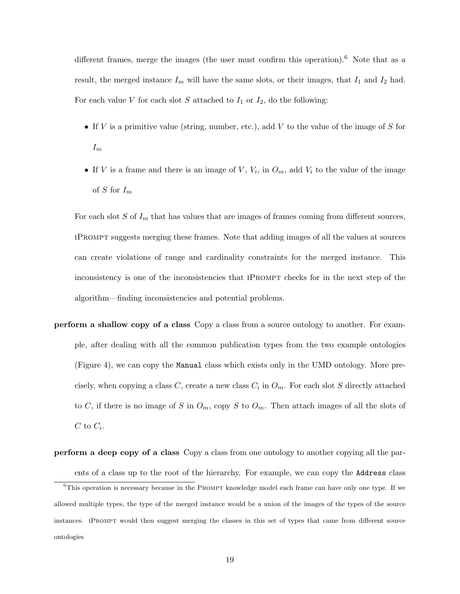different frames, merge the images (the user must confirm this operation).<sup>6</sup> Note that as a result, the merged instance  $I_m$  will have the same slots, or their images, that  $I_1$  and  $I_2$  had. For each value V for each slot S attached to  $I_1$  or  $I_2$ , do the following:

- If  $V$  is a primitive value (string, number, etc.), add  $V$  to the value of the image of  $S$  for  $I_m$
- If V is a frame and there is an image of V,  $V_i$ , in  $O_m$ , add  $V_i$  to the value of the image of S for  $I_m$

For each slot S of  $I_m$  that has values that are images of frames coming from different sources, iPrompt suggests merging these frames. Note that adding images of all the values at sources can create violations of range and cardinality constraints for the merged instance. This inconsistency is one of the inconsistencies that iPrompt checks for in the next step of the algorithm—finding inconsistencies and potential problems.

- perform a shallow copy of a class Copy a class from a source ontology to another. For example, after dealing with all the common publication types from the two example ontologies (Figure 4), we can copy the Manual class which exists only in the UMD ontology. More precisely, when copying a class C, create a new class  $C_i$  in  $O_m$ . For each slot S directly attached to C, if there is no image of S in  $O_m$ , copy S to  $O_m$ . Then attach images of all the slots of  $C$  to  $C_i$ .
- perform a deep copy of a class Copy a class from one ontology to another copying all the parents of a class up to the root of the hierarchy. For example, we can copy the Address class

<sup>&</sup>lt;sup>6</sup>This operation is necessary because in the PROMPT knowledge model each frame can have only one type. If we allowed multiple types, the type of the merged instance would be a union of the images of the types of the source instances. iPrompt would then suggest merging the classes in this set of types that came from different source ontologies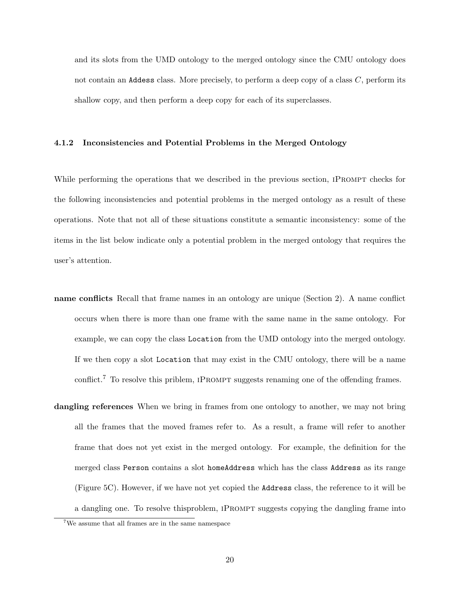and its slots from the UMD ontology to the merged ontology since the CMU ontology does not contain an Addess class. More precisely, to perform a deep copy of a class  $C$ , perform its shallow copy, and then perform a deep copy for each of its superclasses.

#### 4.1.2 Inconsistencies and Potential Problems in the Merged Ontology

While performing the operations that we described in the previous section, IPROMPT checks for the following inconsistencies and potential problems in the merged ontology as a result of these operations. Note that not all of these situations constitute a semantic inconsistency: some of the items in the list below indicate only a potential problem in the merged ontology that requires the user's attention.

- name conflicts Recall that frame names in an ontology are unique (Section 2). A name conflict occurs when there is more than one frame with the same name in the same ontology. For example, we can copy the class Location from the UMD ontology into the merged ontology. If we then copy a slot Location that may exist in the CMU ontology, there will be a name conflict.<sup>7</sup> To resolve this priblem, IPROMPT suggests renaming one of the offending frames.
- dangling references When we bring in frames from one ontology to another, we may not bring all the frames that the moved frames refer to. As a result, a frame will refer to another frame that does not yet exist in the merged ontology. For example, the definition for the merged class Person contains a slot homeAddress which has the class Address as its range (Figure 5C). However, if we have not yet copied the Address class, the reference to it will be a dangling one. To resolve thisproblem, IPROMPT suggests copying the dangling frame into

<sup>7</sup>We assume that all frames are in the same namespace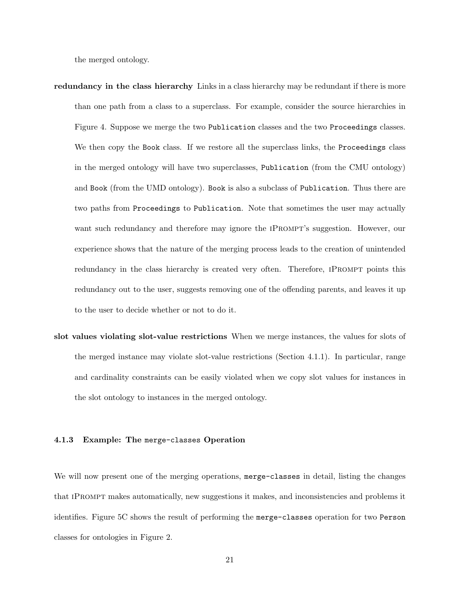the merged ontology.

- redundancy in the class hierarchy Links in a class hierarchy may be redundant if there is more than one path from a class to a superclass. For example, consider the source hierarchies in Figure 4. Suppose we merge the two Publication classes and the two Proceedings classes. We then copy the Book class. If we restore all the superclass links, the Proceedings class in the merged ontology will have two superclasses, Publication (from the CMU ontology) and Book (from the UMD ontology). Book is also a subclass of Publication. Thus there are two paths from Proceedings to Publication. Note that sometimes the user may actually want such redundancy and therefore may ignore the IPROMPT's suggestion. However, our experience shows that the nature of the merging process leads to the creation of unintended redundancy in the class hierarchy is created very often. Therefore, IPROMPT points this redundancy out to the user, suggests removing one of the offending parents, and leaves it up to the user to decide whether or not to do it.
- slot values violating slot-value restrictions When we merge instances, the values for slots of the merged instance may violate slot-value restrictions (Section 4.1.1). In particular, range and cardinality constraints can be easily violated when we copy slot values for instances in the slot ontology to instances in the merged ontology.

#### 4.1.3 Example: The merge-classes Operation

We will now present one of the merging operations, merge-classes in detail, listing the changes that iPrompt makes automatically, new suggestions it makes, and inconsistencies and problems it identifies. Figure 5C shows the result of performing the merge-classes operation for two Person classes for ontologies in Figure 2.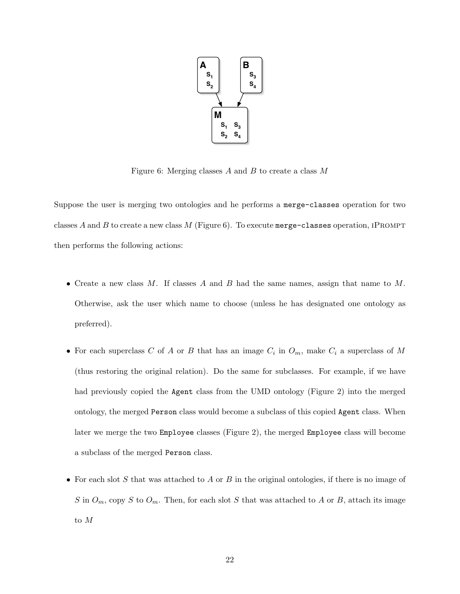

Figure 6: Merging classes  $A$  and  $B$  to create a class  $M$ 

Suppose the user is merging two ontologies and he performs a merge-classes operation for two classes A and B to create a new class  $M$  (Figure 6). To execute merge-classes operation, IPROMPT then performs the following actions:

- Create a new class  $M$ . If classes  $A$  and  $B$  had the same names, assign that name to  $M$ . Otherwise, ask the user which name to choose (unless he has designated one ontology as preferred).
- For each superclass C of A or B that has an image  $C_i$  in  $O_m$ , make  $C_i$  a superclass of M (thus restoring the original relation). Do the same for subclasses. For example, if we have had previously copied the Agent class from the UMD ontology (Figure 2) into the merged ontology, the merged Person class would become a subclass of this copied Agent class. When later we merge the two Employee classes (Figure 2), the merged Employee class will become a subclass of the merged Person class.
- For each slot S that was attached to A or B in the original ontologies, if there is no image of S in  $O_m$ , copy S to  $O_m$ . Then, for each slot S that was attached to A or B, attach its image to M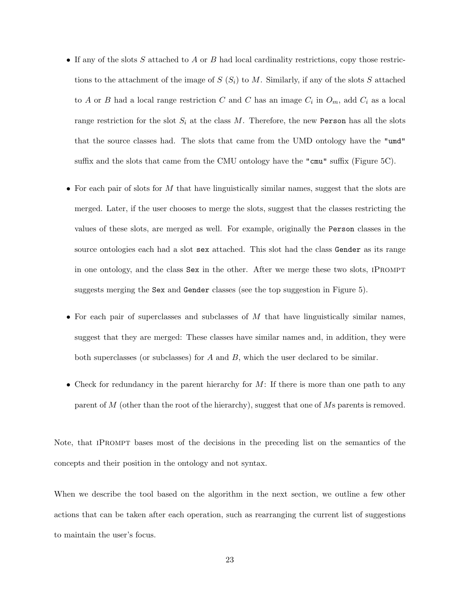- If any of the slots S attached to A or B had local cardinality restrictions, copy those restrictions to the attachment of the image of S  $(S_i)$  to M. Similarly, if any of the slots S attached to A or B had a local range restriction C and C has an image  $C_i$  in  $O_m$ , add  $C_i$  as a local range restriction for the slot  $S_i$  at the class M. Therefore, the new Person has all the slots that the source classes had. The slots that came from the UMD ontology have the "umd" suffix and the slots that came from the CMU ontology have the "cmu" suffix (Figure 5C).
- For each pair of slots for  $M$  that have linguistically similar names, suggest that the slots are merged. Later, if the user chooses to merge the slots, suggest that the classes restricting the values of these slots, are merged as well. For example, originally the Person classes in the source ontologies each had a slot sex attached. This slot had the class Gender as its range in one ontology, and the class Sex in the other. After we merge these two slots, iPrompt suggests merging the Sex and Gender classes (see the top suggestion in Figure 5).
- For each pair of superclasses and subclasses of  $M$  that have linguistically similar names, suggest that they are merged: These classes have similar names and, in addition, they were both superclasses (or subclasses) for  $A$  and  $B$ , which the user declared to be similar.
- Check for redundancy in the parent hierarchy for  $M$ : If there is more than one path to any parent of M (other than the root of the hierarchy), suggest that one of Ms parents is removed.

Note, that iPrompt bases most of the decisions in the preceding list on the semantics of the concepts and their position in the ontology and not syntax.

When we describe the tool based on the algorithm in the next section, we outline a few other actions that can be taken after each operation, such as rearranging the current list of suggestions to maintain the user's focus.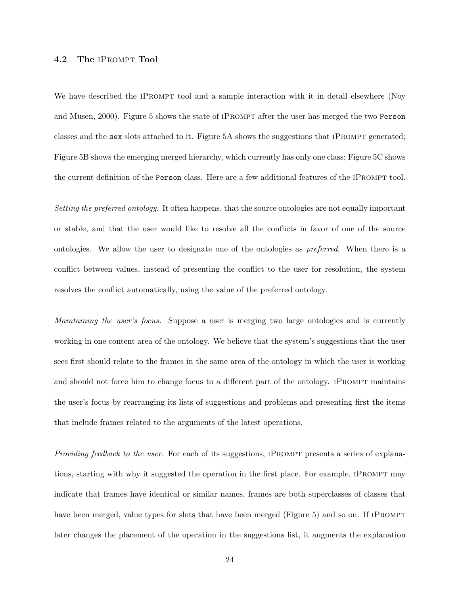#### 4.2 The iPrompt Tool

We have described the IPROMPT tool and a sample interaction with it in detail elsewhere (Nov and Musen, 2000). Figure 5 shows the state of iPrompt after the user has merged the two Person classes and the sex slots attached to it. Figure 5A shows the suggestions that iPrompt generated; Figure 5B shows the emerging merged hierarchy, which currently has only one class; Figure 5C shows the current definition of the Person class. Here are a few additional features of the iPrompt tool.

Setting the preferred ontology. It often happens, that the source ontologies are not equally important or stable, and that the user would like to resolve all the conflicts in favor of one of the source ontologies. We allow the user to designate one of the ontologies as preferred. When there is a conflict between values, instead of presenting the conflict to the user for resolution, the system resolves the conflict automatically, using the value of the preferred ontology.

Maintaining the user's focus. Suppose a user is merging two large ontologies and is currently working in one content area of the ontology. We believe that the system's suggestions that the user sees first should relate to the frames in the same area of the ontology in which the user is working and should not force him to change focus to a different part of the ontology. IPROMPT maintains the user's focus by rearranging its lists of suggestions and problems and presenting first the items that include frames related to the arguments of the latest operations.

Providing feedback to the user. For each of its suggestions, IPROMPT presents a series of explanations, starting with why it suggested the operation in the first place. For example, iPrompt may indicate that frames have identical or similar names, frames are both superclasses of classes that have been merged, value types for slots that have been merged (Figure 5) and so on. If IPROMPT later changes the placement of the operation in the suggestions list, it augments the explanation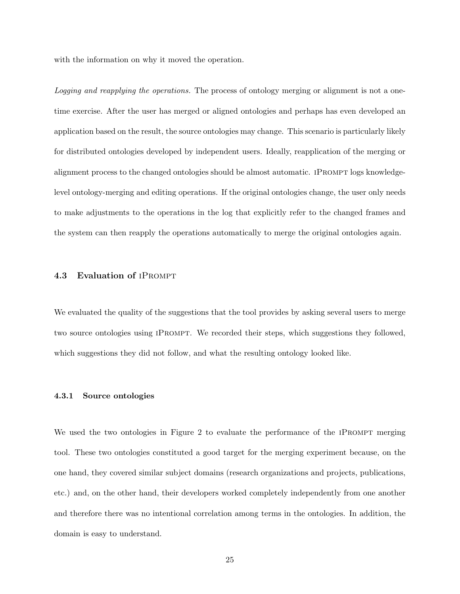with the information on why it moved the operation.

Logging and reapplying the operations. The process of ontology merging or alignment is not a onetime exercise. After the user has merged or aligned ontologies and perhaps has even developed an application based on the result, the source ontologies may change. This scenario is particularly likely for distributed ontologies developed by independent users. Ideally, reapplication of the merging or alignment process to the changed ontologies should be almost automatic. IPROMPT logs knowledgelevel ontology-merging and editing operations. If the original ontologies change, the user only needs to make adjustments to the operations in the log that explicitly refer to the changed frames and the system can then reapply the operations automatically to merge the original ontologies again.

#### 4.3 Evaluation of IPROMPT

We evaluated the quality of the suggestions that the tool provides by asking several users to merge two source ontologies using iPrompt. We recorded their steps, which suggestions they followed, which suggestions they did not follow, and what the resulting ontology looked like.

#### 4.3.1 Source ontologies

We used the two ontologies in Figure 2 to evaluate the performance of the IPROMPT merging tool. These two ontologies constituted a good target for the merging experiment because, on the one hand, they covered similar subject domains (research organizations and projects, publications, etc.) and, on the other hand, their developers worked completely independently from one another and therefore there was no intentional correlation among terms in the ontologies. In addition, the domain is easy to understand.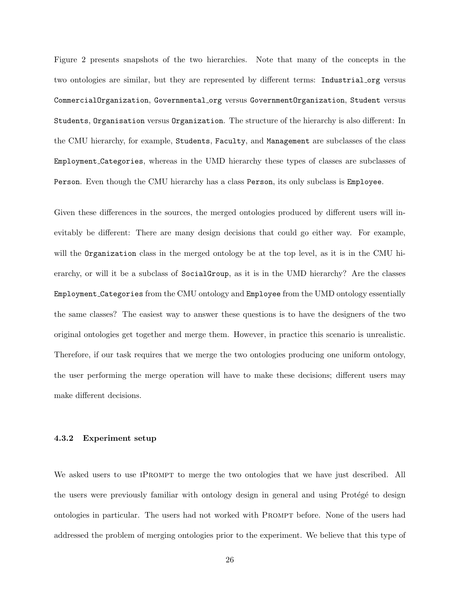Figure 2 presents snapshots of the two hierarchies. Note that many of the concepts in the two ontologies are similar, but they are represented by different terms: Industrial org versus CommercialOrganization, Governmental org versus GovernmentOrganization, Student versus Students, Organisation versus Organization. The structure of the hierarchy is also different: In the CMU hierarchy, for example, Students, Faculty, and Management are subclasses of the class Employment Categories, whereas in the UMD hierarchy these types of classes are subclasses of Person. Even though the CMU hierarchy has a class Person, its only subclass is Employee.

Given these differences in the sources, the merged ontologies produced by different users will inevitably be different: There are many design decisions that could go either way. For example, will the Organization class in the merged ontology be at the top level, as it is in the CMU hierarchy, or will it be a subclass of SocialGroup, as it is in the UMD hierarchy? Are the classes Employment Categories from the CMU ontology and Employee from the UMD ontology essentially the same classes? The easiest way to answer these questions is to have the designers of the two original ontologies get together and merge them. However, in practice this scenario is unrealistic. Therefore, if our task requires that we merge the two ontologies producing one uniform ontology, the user performing the merge operation will have to make these decisions; different users may make different decisions.

#### 4.3.2 Experiment setup

We asked users to use IPROMPT to merge the two ontologies that we have just described. All the users were previously familiar with ontology design in general and using Protégé to design ontologies in particular. The users had not worked with Prompt before. None of the users had addressed the problem of merging ontologies prior to the experiment. We believe that this type of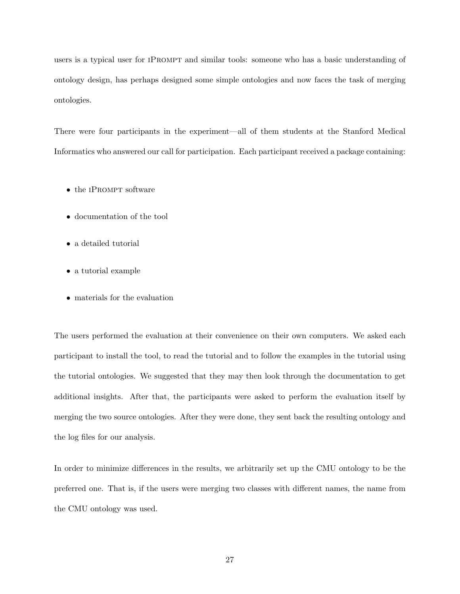users is a typical user for IPROMPT and similar tools: someone who has a basic understanding of ontology design, has perhaps designed some simple ontologies and now faces the task of merging ontologies.

There were four participants in the experiment—all of them students at the Stanford Medical Informatics who answered our call for participation. Each participant received a package containing:

- $\bullet$  the IPROMPT software
- documentation of the tool
- a detailed tutorial
- a tutorial example
- materials for the evaluation

The users performed the evaluation at their convenience on their own computers. We asked each participant to install the tool, to read the tutorial and to follow the examples in the tutorial using the tutorial ontologies. We suggested that they may then look through the documentation to get additional insights. After that, the participants were asked to perform the evaluation itself by merging the two source ontologies. After they were done, they sent back the resulting ontology and the log files for our analysis.

In order to minimize differences in the results, we arbitrarily set up the CMU ontology to be the preferred one. That is, if the users were merging two classes with different names, the name from the CMU ontology was used.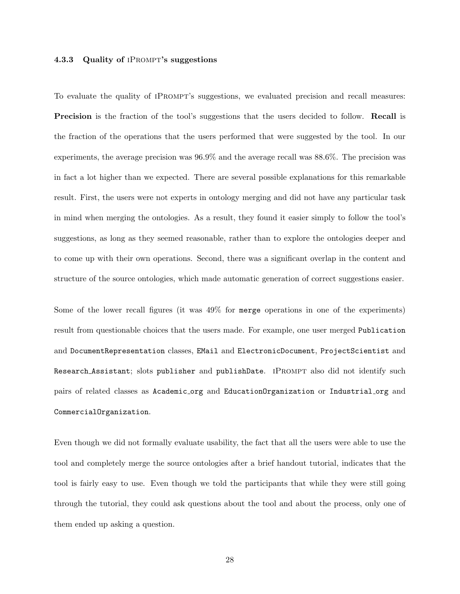#### 4.3.3 Quality of IPROMPT's suggestions

To evaluate the quality of IPROMPT's suggestions, we evaluated precision and recall measures: Precision is the fraction of the tool's suggestions that the users decided to follow. Recall is the fraction of the operations that the users performed that were suggested by the tool. In our experiments, the average precision was 96.9% and the average recall was 88.6%. The precision was in fact a lot higher than we expected. There are several possible explanations for this remarkable result. First, the users were not experts in ontology merging and did not have any particular task in mind when merging the ontologies. As a result, they found it easier simply to follow the tool's suggestions, as long as they seemed reasonable, rather than to explore the ontologies deeper and to come up with their own operations. Second, there was a significant overlap in the content and structure of the source ontologies, which made automatic generation of correct suggestions easier.

Some of the lower recall figures (it was 49% for merge operations in one of the experiments) result from questionable choices that the users made. For example, one user merged Publication and DocumentRepresentation classes, EMail and ElectronicDocument, ProjectScientist and Research Assistant; slots publisher and publishDate. IPROMPT also did not identify such pairs of related classes as Academic org and EducationOrganization or Industrial org and CommercialOrganization.

Even though we did not formally evaluate usability, the fact that all the users were able to use the tool and completely merge the source ontologies after a brief handout tutorial, indicates that the tool is fairly easy to use. Even though we told the participants that while they were still going through the tutorial, they could ask questions about the tool and about the process, only one of them ended up asking a question.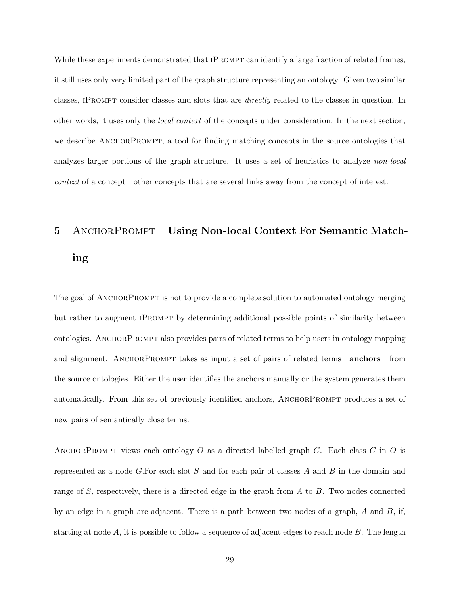While these experiments demonstrated that IPROMPT can identify a large fraction of related frames, it still uses only very limited part of the graph structure representing an ontology. Given two similar classes, iPrompt consider classes and slots that are directly related to the classes in question. In other words, it uses only the local context of the concepts under consideration. In the next section, we describe ANCHORPROMPT, a tool for finding matching concepts in the source ontologies that analyzes larger portions of the graph structure. It uses a set of heuristics to analyze non-local context of a concept—other concepts that are several links away from the concept of interest.

# 5 ANCHORPROMPT—Using Non-local Context For Semantic Matching

The goal of ANCHORPROMPT is not to provide a complete solution to automated ontology merging but rather to augment iPrompt by determining additional possible points of similarity between ontologies. AnchorPrompt also provides pairs of related terms to help users in ontology mapping and alignment. ANCHORPROMPT takes as input a set of pairs of related terms—anchors—from the source ontologies. Either the user identifies the anchors manually or the system generates them automatically. From this set of previously identified anchors, ANCHORPROMPT produces a set of new pairs of semantically close terms.

ANCHORPROMPT views each ontology O as a directed labelled graph G. Each class C in O is represented as a node  $G$ . For each slot  $S$  and for each pair of classes  $A$  and  $B$  in the domain and range of  $S$ , respectively, there is a directed edge in the graph from  $A$  to  $B$ . Two nodes connected by an edge in a graph are adjacent. There is a path between two nodes of a graph, A and B, if, starting at node  $A$ , it is possible to follow a sequence of adjacent edges to reach node  $B$ . The length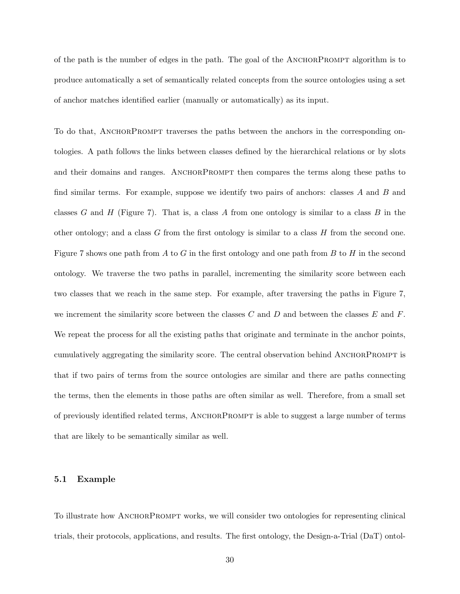of the path is the number of edges in the path. The goal of the AnchorPrompt algorithm is to produce automatically a set of semantically related concepts from the source ontologies using a set of anchor matches identified earlier (manually or automatically) as its input.

To do that, ANCHORPROMPT traverses the paths between the anchors in the corresponding ontologies. A path follows the links between classes defined by the hierarchical relations or by slots and their domains and ranges. ANCHORPROMPT then compares the terms along these paths to find similar terms. For example, suppose we identify two pairs of anchors: classes  $A$  and  $B$  and classes G and H (Figure 7). That is, a class A from one ontology is similar to a class B in the other ontology; and a class G from the first ontology is similar to a class H from the second one. Figure 7 shows one path from A to G in the first ontology and one path from B to H in the second ontology. We traverse the two paths in parallel, incrementing the similarity score between each two classes that we reach in the same step. For example, after traversing the paths in Figure 7, we increment the similarity score between the classes  $C$  and  $D$  and between the classes  $E$  and  $F$ . We repeat the process for all the existing paths that originate and terminate in the anchor points, cumulatively aggregating the similarity score. The central observation behind ANCHORPROMPT is that if two pairs of terms from the source ontologies are similar and there are paths connecting the terms, then the elements in those paths are often similar as well. Therefore, from a small set of previously identified related terms, AnchorPrompt is able to suggest a large number of terms that are likely to be semantically similar as well.

#### 5.1 Example

To illustrate how ANCHORPROMPT works, we will consider two ontologies for representing clinical trials, their protocols, applications, and results. The first ontology, the Design-a-Trial (DaT) ontol-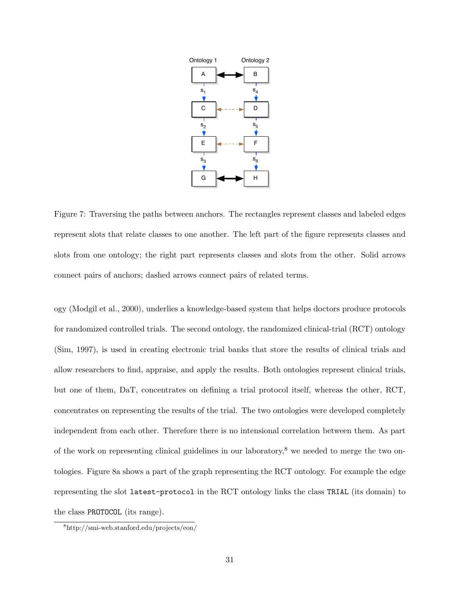

Figure 7: Traversing the paths between anchors. The rectangles represent classes and labeled edges represent slots that relate classes to one another. The left part of the figure represents classes and slots from one ontology; the right part represents classes and slots from the other. Solid arrows connect pairs of anchors; dashed arrows connect pairs of related terms.

ogy (Modgil et al., 2000), underlies a knowledge-based system that helps doctors produce protocols for randomized controlled trials. The second ontology, the randomized clinical-trial (RCT) ontology (Sim, 1997), is used in creating electronic trial banks that store the results of clinical trials and allow researchers to find, appraise, and apply the results. Both ontologies represent clinical trials, but one of them, DaT, concentrates on defining a trial protocol itself, whereas the other, RCT, concentrates on representing the results of the trial. The two ontologies were developed completely independent from each other. Therefore there is no intensional correlation between them. As part of the work on representing clinical guidelines in our laboratory,<sup>8</sup> we needed to merge the two ontologies. Figure 8a shows a part of the graph representing the RCT ontology. For example the edge representing the slot latest-protocol in the RCT ontology links the class TRIAL (its domain) to the class PROTOCOL (its range).

<sup>8</sup>http://smi-web.stanford.edu/projects/eon/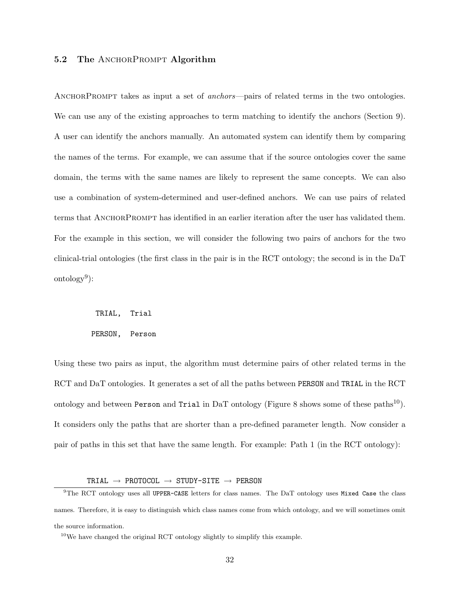#### 5.2 The ANCHORPROMPT Algorithm

ANCHORPROMPT takes as input a set of anchors—pairs of related terms in the two ontologies. We can use any of the existing approaches to term matching to identify the anchors (Section 9). A user can identify the anchors manually. An automated system can identify them by comparing the names of the terms. For example, we can assume that if the source ontologies cover the same domain, the terms with the same names are likely to represent the same concepts. We can also use a combination of system-determined and user-defined anchors. We can use pairs of related terms that ANCHORPROMPT has identified in an earlier iteration after the user has validated them. For the example in this section, we will consider the following two pairs of anchors for the two clinical-trial ontologies (the first class in the pair is in the RCT ontology; the second is in the DaT  $\text{ontology}^9$ :

# TRIAL, Trial PERSON, Person

Using these two pairs as input, the algorithm must determine pairs of other related terms in the RCT and DaT ontologies. It generates a set of all the paths between PERSON and TRIAL in the RCT ontology and between Person and Trial in DaT ontology (Figure 8 shows some of these paths<sup>10</sup>). It considers only the paths that are shorter than a pre-defined parameter length. Now consider a pair of paths in this set that have the same length. For example: Path 1 (in the RCT ontology):

#### TRIAL  $\rightarrow$  PROTOCOL  $\rightarrow$  STUDY-SITE  $\rightarrow$  PERSON

 $9$ The RCT ontology uses all UPPER-CASE letters for class names. The DaT ontology uses Mixed Case the class names. Therefore, it is easy to distinguish which class names come from which ontology, and we will sometimes omit the source information.

<sup>10</sup>We have changed the original RCT ontology slightly to simplify this example.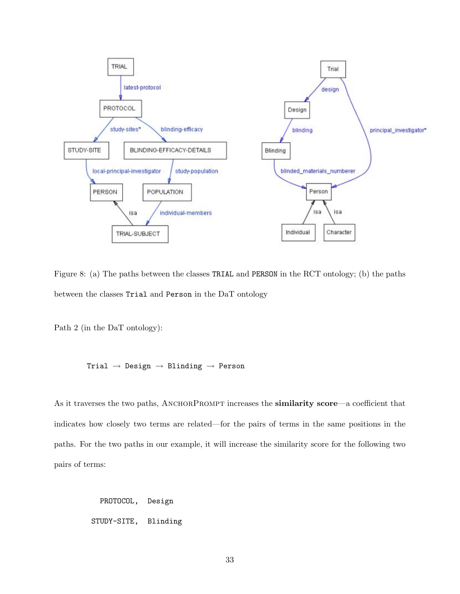

Figure 8: (a) The paths between the classes TRIAL and PERSON in the RCT ontology; (b) the paths between the classes Trial and Person in the DaT ontology

Path 2 (in the DaT ontology):

#### Trial  $\rightarrow$  Design  $\rightarrow$  Blinding  $\rightarrow$  Person

As it traverses the two paths, ANCHORPROMPT increases the **similarity score—a** coefficient that indicates how closely two terms are related—for the pairs of terms in the same positions in the paths. For the two paths in our example, it will increase the similarity score for the following two pairs of terms:

> PROTOCOL, Design STUDY-SITE, Blinding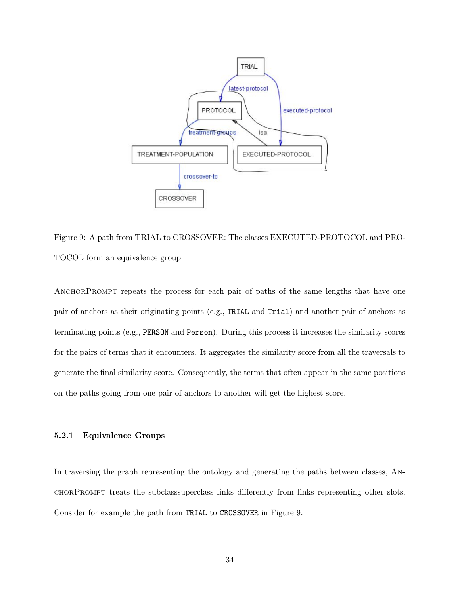

Figure 9: A path from TRIAL to CROSSOVER: The classes EXECUTED-PROTOCOL and PRO-TOCOL form an equivalence group

ANCHORPROMPT repeats the process for each pair of paths of the same lengths that have one pair of anchors as their originating points (e.g., TRIAL and Trial) and another pair of anchors as terminating points (e.g., PERSON and Person). During this process it increases the similarity scores for the pairs of terms that it encounters. It aggregates the similarity score from all the traversals to generate the final similarity score. Consequently, the terms that often appear in the same positions on the paths going from one pair of anchors to another will get the highest score.

#### 5.2.1 Equivalence Groups

In traversing the graph representing the ontology and generating the paths between classes, AnchorPrompt treats the subclasssuperclass links differently from links representing other slots. Consider for example the path from TRIAL to CROSSOVER in Figure 9.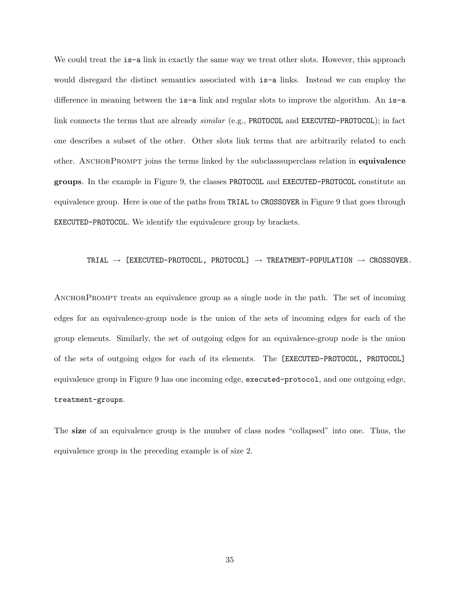We could treat the  $i$ s-a link in exactly the same way we treat other slots. However, this approach would disregard the distinct semantics associated with  $is-a$  links. Instead we can employ the difference in meaning between the is-a link and regular slots to improve the algorithm. An is-a link connects the terms that are already *similar* (e.g., PROTOCOL and EXECUTED-PROTOCOL); in fact one describes a subset of the other. Other slots link terms that are arbitrarily related to each other. ANCHORPROMPT joins the terms linked by the subclasssuperclass relation in equivalence groups. In the example in Figure 9, the classes PROTOCOL and EXECUTED-PROTOCOL constitute an equivalence group. Here is one of the paths from TRIAL to CROSSOVER in Figure 9 that goes through EXECUTED-PROTOCOL. We identify the equivalence group by brackets.

#### TRIAL  $\rightarrow$  [EXECUTED-PROTOCOL, PROTOCOL]  $\rightarrow$  TREATMENT-POPULATION  $\rightarrow$  CROSSOVER.

ANCHORPROMPT treats an equivalence group as a single node in the path. The set of incoming edges for an equivalence-group node is the union of the sets of incoming edges for each of the group elements. Similarly, the set of outgoing edges for an equivalence-group node is the union of the sets of outgoing edges for each of its elements. The [EXECUTED-PROTOCOL, PROTOCOL] equivalence group in Figure 9 has one incoming edge, executed-protocol, and one outgoing edge, treatment-groups.

The size of an equivalence group is the number of class nodes "collapsed" into one. Thus, the equivalence group in the preceding example is of size 2.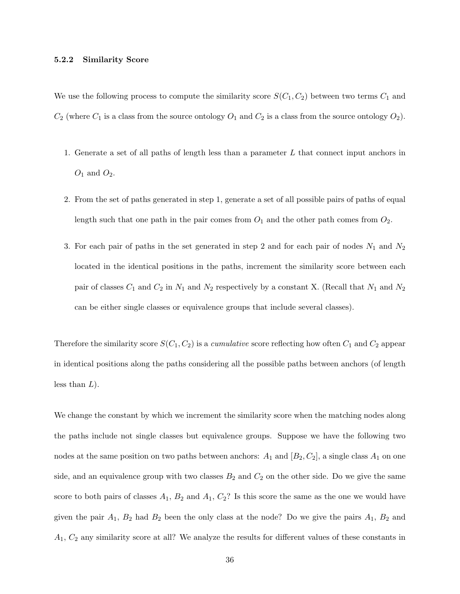#### 5.2.2 Similarity Score

We use the following process to compute the similarity score  $S(C_1, C_2)$  between two terms  $C_1$  and  $C_2$  (where  $C_1$  is a class from the source ontology  $O_1$  and  $C_2$  is a class from the source ontology  $O_2$ ).

- 1. Generate a set of all paths of length less than a parameter  $L$  that connect input anchors in  $O_1$  and  $O_2$ .
- 2. From the set of paths generated in step 1, generate a set of all possible pairs of paths of equal length such that one path in the pair comes from  $O_1$  and the other path comes from  $O_2$ .
- 3. For each pair of paths in the set generated in step 2 and for each pair of nodes  $N_1$  and  $N_2$ located in the identical positions in the paths, increment the similarity score between each pair of classes  $C_1$  and  $C_2$  in  $N_1$  and  $N_2$  respectively by a constant X. (Recall that  $N_1$  and  $N_2$ can be either single classes or equivalence groups that include several classes).

Therefore the similarity score  $S(C_1, C_2)$  is a *cumulative* score reflecting how often  $C_1$  and  $C_2$  appear in identical positions along the paths considering all the possible paths between anchors (of length less than  $L$ ).

We change the constant by which we increment the similarity score when the matching nodes along the paths include not single classes but equivalence groups. Suppose we have the following two nodes at the same position on two paths between anchors:  $A_1$  and  $[B_2, C_2]$ , a single class  $A_1$  on one side, and an equivalence group with two classes  $B_2$  and  $C_2$  on the other side. Do we give the same score to both pairs of classes  $A_1$ ,  $B_2$  and  $A_1$ ,  $C_2$ ? Is this score the same as the one we would have given the pair  $A_1$ ,  $B_2$  had  $B_2$  been the only class at the node? Do we give the pairs  $A_1$ ,  $B_2$  and  $A_1, C_2$  any similarity score at all? We analyze the results for different values of these constants in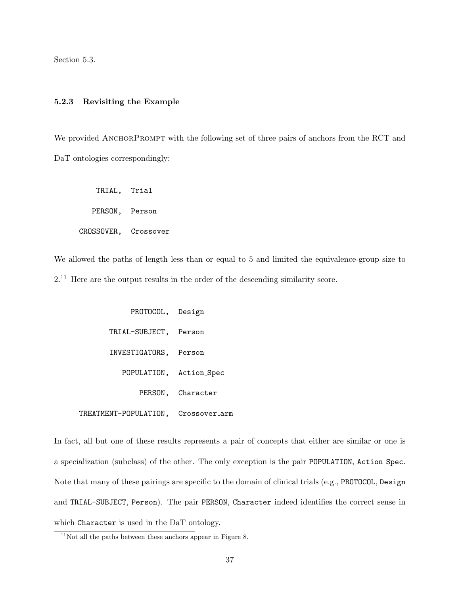Section 5.3.

#### 5.2.3 Revisiting the Example

We provided ANCHORPROMPT with the following set of three pairs of anchors from the RCT and DaT ontologies correspondingly:

TRIAL, Trial PERSON, Person CROSSOVER, Crossover

We allowed the paths of length less than or equal to 5 and limited the equivalence-group size to 2.<sup>11</sup> Here are the output results in the order of the descending similarity score.

| PROTOCOL, Design        |                   |
|-------------------------|-------------------|
| TRIAL-SUBJECT, Person   |                   |
| INVESTIGATORS, Person   |                   |
| POPULATION, Action_Spec |                   |
|                         | PERSON, Character |
| TREATMENT-POPULATION.   | Crossover_arm     |

In fact, all but one of these results represents a pair of concepts that either are similar or one is a specialization (subclass) of the other. The only exception is the pair POPULATION, Action Spec. Note that many of these pairings are specific to the domain of clinical trials (e.g., PROTOCOL, Design and TRIAL-SUBJECT, Person). The pair PERSON, Character indeed identifies the correct sense in which Character is used in the DaT ontology.

 $11$ Not all the paths between these anchors appear in Figure 8.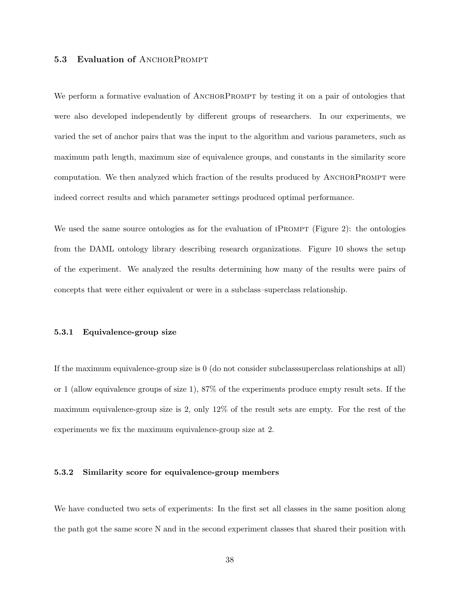#### 5.3 Evaluation of ANCHORPROMPT

We perform a formative evaluation of ANCHORPROMPT by testing it on a pair of ontologies that were also developed independently by different groups of researchers. In our experiments, we varied the set of anchor pairs that was the input to the algorithm and various parameters, such as maximum path length, maximum size of equivalence groups, and constants in the similarity score computation. We then analyzed which fraction of the results produced by ANCHORPROMPT were indeed correct results and which parameter settings produced optimal performance.

We used the same source ontologies as for the evaluation of IPROMPT (Figure 2): the ontologies from the DAML ontology library describing research organizations. Figure 10 shows the setup of the experiment. We analyzed the results determining how many of the results were pairs of concepts that were either equivalent or were in a subclass–superclass relationship.

#### 5.3.1 Equivalence-group size

If the maximum equivalence-group size is 0 (do not consider subclasssuperclass relationships at all) or 1 (allow equivalence groups of size 1), 87% of the experiments produce empty result sets. If the maximum equivalence-group size is 2, only 12% of the result sets are empty. For the rest of the experiments we fix the maximum equivalence-group size at 2.

#### 5.3.2 Similarity score for equivalence-group members

We have conducted two sets of experiments: In the first set all classes in the same position along the path got the same score N and in the second experiment classes that shared their position with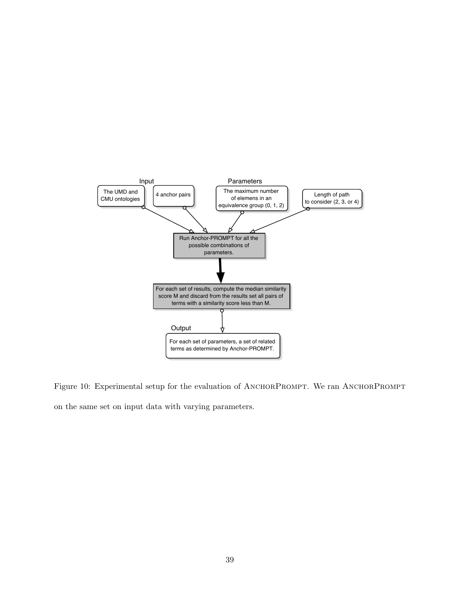

Figure 10: Experimental setup for the evaluation of ANCHORPROMPT. We ran ANCHORPROMPT on the same set on input data with varying parameters.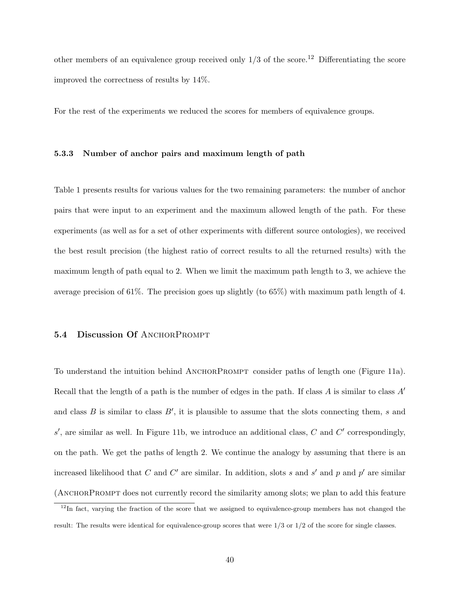other members of an equivalence group received only  $1/3$  of the score.<sup>12</sup> Differentiating the score improved the correctness of results by 14%.

For the rest of the experiments we reduced the scores for members of equivalence groups.

#### 5.3.3 Number of anchor pairs and maximum length of path

Table 1 presents results for various values for the two remaining parameters: the number of anchor pairs that were input to an experiment and the maximum allowed length of the path. For these experiments (as well as for a set of other experiments with different source ontologies), we received the best result precision (the highest ratio of correct results to all the returned results) with the maximum length of path equal to 2. When we limit the maximum path length to 3, we achieve the average precision of 61%. The precision goes up slightly (to 65%) with maximum path length of 4.

#### 5.4 Discussion Of ANCHORPROMPT

To understand the intuition behind ANCHORPROMPT consider paths of length one (Figure 11a). Recall that the length of a path is the number of edges in the path. If class A is similar to class  $A'$ and class  $B$  is similar to class  $B'$ , it is plausible to assume that the slots connecting them,  $s$  and  $s'$ , are similar as well. In Figure 11b, we introduce an additional class, C and C' correspondingly, on the path. We get the paths of length 2. We continue the analogy by assuming that there is an increased likelihood that C and C' are similar. In addition, slots s and s' and p and p' are similar (ANCHORPROMPT does not currently record the similarity among slots; we plan to add this feature

 $12$ In fact, varying the fraction of the score that we assigned to equivalence-group members has not changed the result: The results were identical for equivalence-group scores that were  $1/3$  or  $1/2$  of the score for single classes.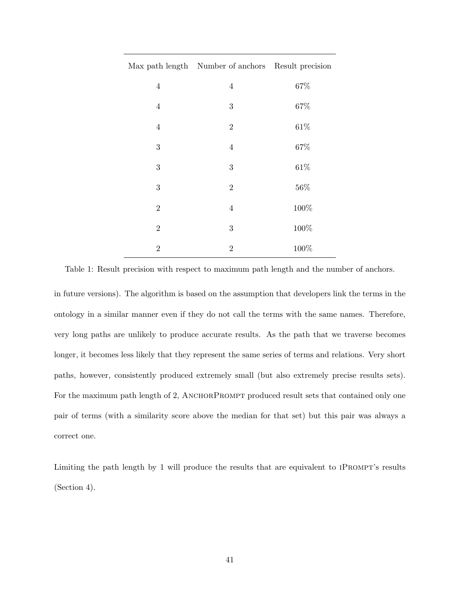|                | Max path length Number of anchors Result precision |         |
|----------------|----------------------------------------------------|---------|
| $\,4\,$        | $\,4\,$                                            | $67\%$  |
| $\overline{4}$ | $\boldsymbol{3}$                                   | $67\%$  |
| $\,4\,$        | $\sqrt{2}$                                         | $61\%$  |
| 3              | $\overline{4}$                                     | $67\%$  |
| $\sqrt{3}$     | $\boldsymbol{3}$                                   | $61\%$  |
| 3              | $\overline{2}$                                     | $56\%$  |
| $\overline{2}$ | $\,4\,$                                            | $100\%$ |
| $\overline{2}$ | 3                                                  | $100\%$ |
| $\overline{2}$ | $\overline{2}$                                     | 100%    |

Table 1: Result precision with respect to maximum path length and the number of anchors.

in future versions). The algorithm is based on the assumption that developers link the terms in the ontology in a similar manner even if they do not call the terms with the same names. Therefore, very long paths are unlikely to produce accurate results. As the path that we traverse becomes longer, it becomes less likely that they represent the same series of terms and relations. Very short paths, however, consistently produced extremely small (but also extremely precise results sets). For the maximum path length of 2, ANCHORPROMPT produced result sets that contained only one pair of terms (with a similarity score above the median for that set) but this pair was always a correct one.

Limiting the path length by 1 will produce the results that are equivalent to IPROMPT's results (Section 4).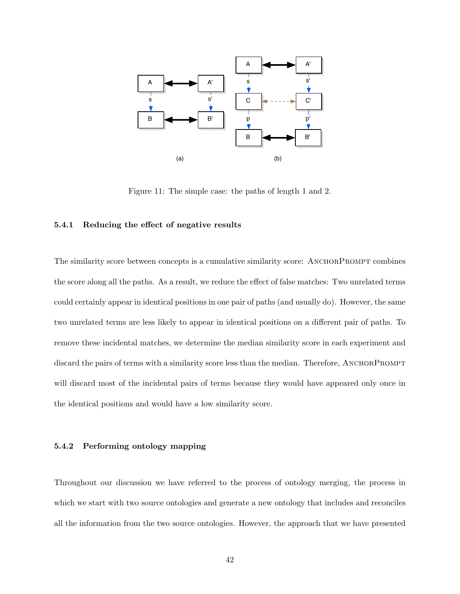

Figure 11: The simple case: the paths of length 1 and 2.

#### 5.4.1 Reducing the effect of negative results

The similarity score between concepts is a cumulative similarity score: ANCHORPROMPT combines the score along all the paths. As a result, we reduce the effect of false matches: Two unrelated terms could certainly appear in identical positions in one pair of paths (and usually do). However, the same two unrelated terms are less likely to appear in identical positions on a different pair of paths. To remove these incidental matches, we determine the median similarity score in each experiment and discard the pairs of terms with a similarity score less than the median. Therefore, ANCHORPROMPT will discard most of the incidental pairs of terms because they would have appeared only once in the identical positions and would have a low similarity score.

#### 5.4.2 Performing ontology mapping

Throughout our discussion we have referred to the process of ontology merging, the process in which we start with two source ontologies and generate a new ontology that includes and reconciles all the information from the two source ontologies. However, the approach that we have presented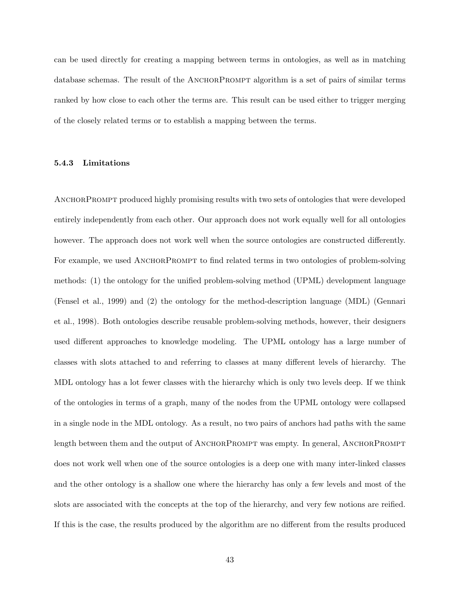can be used directly for creating a mapping between terms in ontologies, as well as in matching database schemas. The result of the ANCHORPROMPT algorithm is a set of pairs of similar terms ranked by how close to each other the terms are. This result can be used either to trigger merging of the closely related terms or to establish a mapping between the terms.

#### 5.4.3 Limitations

ANCHORPROMPT produced highly promising results with two sets of ontologies that were developed entirely independently from each other. Our approach does not work equally well for all ontologies however. The approach does not work well when the source ontologies are constructed differently. For example, we used ANCHORPROMPT to find related terms in two ontologies of problem-solving methods: (1) the ontology for the unified problem-solving method (UPML) development language (Fensel et al., 1999) and (2) the ontology for the method-description language (MDL) (Gennari et al., 1998). Both ontologies describe reusable problem-solving methods, however, their designers used different approaches to knowledge modeling. The UPML ontology has a large number of classes with slots attached to and referring to classes at many different levels of hierarchy. The MDL ontology has a lot fewer classes with the hierarchy which is only two levels deep. If we think of the ontologies in terms of a graph, many of the nodes from the UPML ontology were collapsed in a single node in the MDL ontology. As a result, no two pairs of anchors had paths with the same length between them and the output of ANCHORPROMPT was empty. In general, ANCHORPROMPT does not work well when one of the source ontologies is a deep one with many inter-linked classes and the other ontology is a shallow one where the hierarchy has only a few levels and most of the slots are associated with the concepts at the top of the hierarchy, and very few notions are reified. If this is the case, the results produced by the algorithm are no different from the results produced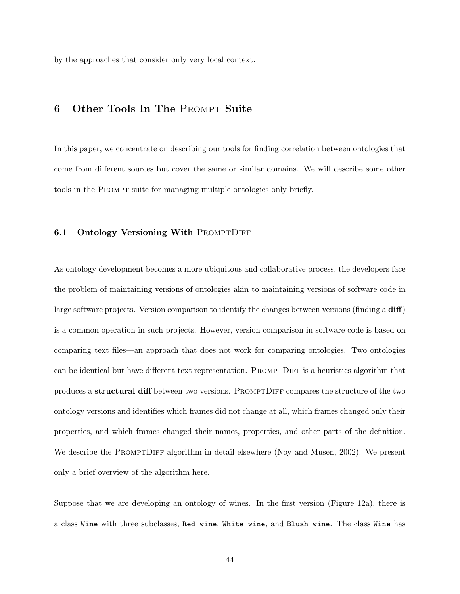by the approaches that consider only very local context.

# 6 Other Tools In The PROMPT Suite

In this paper, we concentrate on describing our tools for finding correlation between ontologies that come from different sources but cover the same or similar domains. We will describe some other tools in the Prompt suite for managing multiple ontologies only briefly.

#### 6.1 Ontology Versioning With PROMPTDIFF

As ontology development becomes a more ubiquitous and collaborative process, the developers face the problem of maintaining versions of ontologies akin to maintaining versions of software code in large software projects. Version comparison to identify the changes between versions (finding a diff) is a common operation in such projects. However, version comparison in software code is based on comparing text files—an approach that does not work for comparing ontologies. Two ontologies can be identical but have different text representation. PROMPTDIFF is a heuristics algorithm that produces a structural diff between two versions. PROMPTDIFF compares the structure of the two ontology versions and identifies which frames did not change at all, which frames changed only their properties, and which frames changed their names, properties, and other parts of the definition. We describe the PROMPTDIFF algorithm in detail elsewhere (Noy and Musen, 2002). We present only a brief overview of the algorithm here.

Suppose that we are developing an ontology of wines. In the first version (Figure 12a), there is a class Wine with three subclasses, Red wine, White wine, and Blush wine. The class Wine has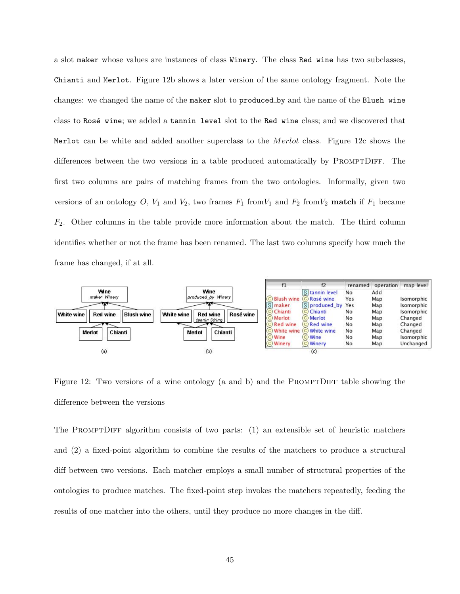a slot maker whose values are instances of class Winery. The class Red wine has two subclasses, Chianti and Merlot. Figure 12b shows a later version of the same ontology fragment. Note the changes: we changed the name of the maker slot to produced by and the name of the Blush wine class to Rosé wine; we added a tannin level slot to the Red wine class; and we discovered that Merlot can be white and added another superclass to the *Merlot* class. Figure 12c shows the differences between the two versions in a table produced automatically by PromptDiff. The first two columns are pairs of matching frames from the two ontologies. Informally, given two versions of an ontology O,  $V_1$  and  $V_2$ , two frames  $F_1$  from  $V_1$  and  $F_2$  from  $V_2$  match if  $F_1$  became  $F_2$ . Other columns in the table provide more information about the match. The third column identifies whether or not the frame has been renamed. The last two columns specify how much the frame has changed, if at all.



Figure 12: Two versions of a wine ontology (a and b) and the PROMPTDIFF table showing the difference between the versions

The PromptDiff algorithm consists of two parts: (1) an extensible set of heuristic matchers and (2) a fixed-point algorithm to combine the results of the matchers to produce a structural diff between two versions. Each matcher employs a small number of structural properties of the ontologies to produce matches. The fixed-point step invokes the matchers repeatedly, feeding the results of one matcher into the others, until they produce no more changes in the diff.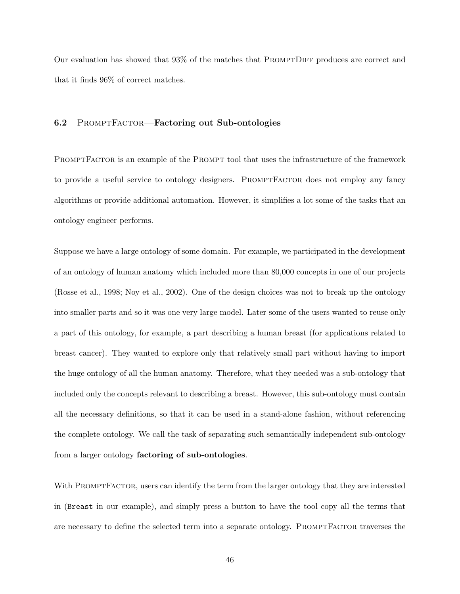Our evaluation has showed that 93% of the matches that PromptDiff produces are correct and that it finds 96% of correct matches.

#### 6.2 PROMPTFACTOR—Factoring out Sub-ontologies

PROMPTFACTOR is an example of the PROMPT tool that uses the infrastructure of the framework to provide a useful service to ontology designers. PROMPTFACTOR does not employ any fancy algorithms or provide additional automation. However, it simplifies a lot some of the tasks that an ontology engineer performs.

Suppose we have a large ontology of some domain. For example, we participated in the development of an ontology of human anatomy which included more than 80,000 concepts in one of our projects (Rosse et al., 1998; Noy et al., 2002). One of the design choices was not to break up the ontology into smaller parts and so it was one very large model. Later some of the users wanted to reuse only a part of this ontology, for example, a part describing a human breast (for applications related to breast cancer). They wanted to explore only that relatively small part without having to import the huge ontology of all the human anatomy. Therefore, what they needed was a sub-ontology that included only the concepts relevant to describing a breast. However, this sub-ontology must contain all the necessary definitions, so that it can be used in a stand-alone fashion, without referencing the complete ontology. We call the task of separating such semantically independent sub-ontology from a larger ontology factoring of sub-ontologies.

With PROMPTFACTOR, users can identify the term from the larger ontology that they are interested in (Breast in our example), and simply press a button to have the tool copy all the terms that are necessary to define the selected term into a separate ontology. PROMPTFACTOR traverses the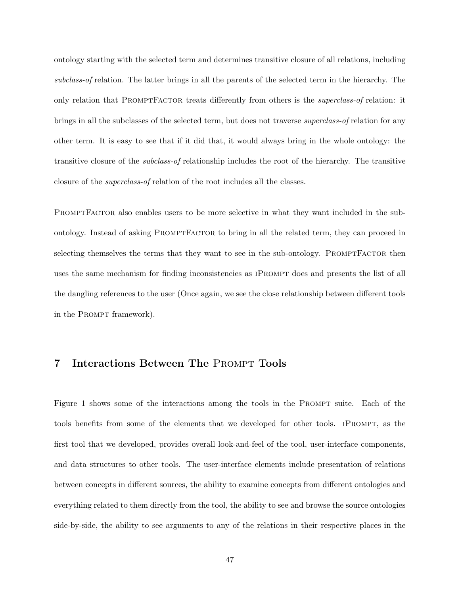ontology starting with the selected term and determines transitive closure of all relations, including subclass-of relation. The latter brings in all the parents of the selected term in the hierarchy. The only relation that PROMPTFACTOR treats differently from others is the *superclass-of* relation: it brings in all the subclasses of the selected term, but does not traverse superclass-of relation for any other term. It is easy to see that if it did that, it would always bring in the whole ontology: the transitive closure of the subclass-of relationship includes the root of the hierarchy. The transitive closure of the superclass-of relation of the root includes all the classes.

PROMPTFACTOR also enables users to be more selective in what they want included in the subontology. Instead of asking PromptFactor to bring in all the related term, they can proceed in selecting themselves the terms that they want to see in the sub-ontology. PROMPTFACTOR then uses the same mechanism for finding inconsistencies as iPrompt does and presents the list of all the dangling references to the user (Once again, we see the close relationship between different tools in the PROMPT framework).

# 7 Interactions Between The Prompt Tools

Figure 1 shows some of the interactions among the tools in the PROMPT suite. Each of the tools benefits from some of the elements that we developed for other tools. iPrompt, as the first tool that we developed, provides overall look-and-feel of the tool, user-interface components, and data structures to other tools. The user-interface elements include presentation of relations between concepts in different sources, the ability to examine concepts from different ontologies and everything related to them directly from the tool, the ability to see and browse the source ontologies side-by-side, the ability to see arguments to any of the relations in their respective places in the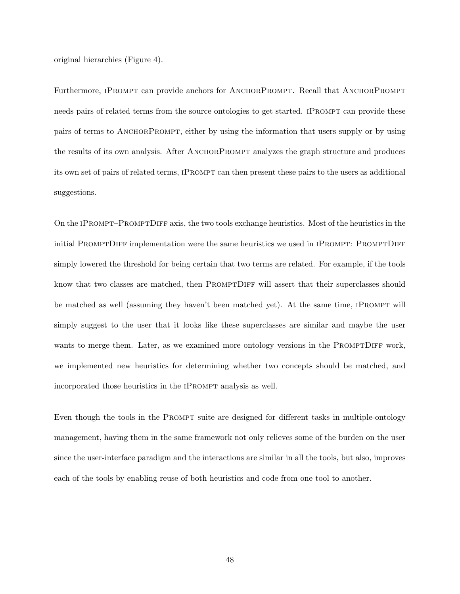original hierarchies (Figure 4).

Furthermore, IPROMPT can provide anchors for ANCHORPROMPT. Recall that ANCHORPROMPT needs pairs of related terms from the source ontologies to get started. IPROMPT can provide these pairs of terms to AnchorPrompt, either by using the information that users supply or by using the results of its own analysis. After ANCHORPROMPT analyzes the graph structure and produces its own set of pairs of related terms, iPrompt can then present these pairs to the users as additional suggestions.

On the iPrompt–PromptDiff axis, the two tools exchange heuristics. Most of the heuristics in the initial PROMPTDIFF implementation were the same heuristics we used in IPROMPT: PROMPTDIFF simply lowered the threshold for being certain that two terms are related. For example, if the tools know that two classes are matched, then PROMPTDIFF will assert that their superclasses should be matched as well (assuming they haven't been matched yet). At the same time, iPrompt will simply suggest to the user that it looks like these superclasses are similar and maybe the user wants to merge them. Later, as we examined more ontology versions in the PROMPTDIFF work, we implemented new heuristics for determining whether two concepts should be matched, and incorporated those heuristics in the IPROMPT analysis as well.

Even though the tools in the Prompt suite are designed for different tasks in multiple-ontology management, having them in the same framework not only relieves some of the burden on the user since the user-interface paradigm and the interactions are similar in all the tools, but also, improves each of the tools by enabling reuse of both heuristics and code from one tool to another.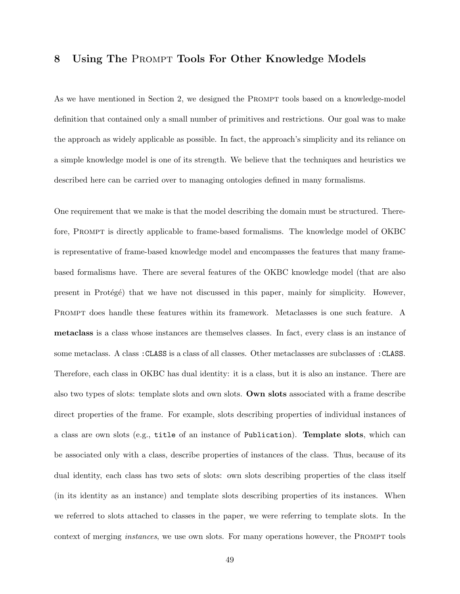# 8 Using The Prompt Tools For Other Knowledge Models

As we have mentioned in Section 2, we designed the Prompt tools based on a knowledge-model definition that contained only a small number of primitives and restrictions. Our goal was to make the approach as widely applicable as possible. In fact, the approach's simplicity and its reliance on a simple knowledge model is one of its strength. We believe that the techniques and heuristics we described here can be carried over to managing ontologies defined in many formalisms.

One requirement that we make is that the model describing the domain must be structured. Therefore, Prompt is directly applicable to frame-based formalisms. The knowledge model of OKBC is representative of frame-based knowledge model and encompasses the features that many framebased formalisms have. There are several features of the OKBC knowledge model (that are also present in Protégé) that we have not discussed in this paper, mainly for simplicity. However, Prompt does handle these features within its framework. Metaclasses is one such feature. A metaclass is a class whose instances are themselves classes. In fact, every class is an instance of some metaclass. A class :CLASS is a class of all classes. Other metaclasses are subclasses of :CLASS. Therefore, each class in OKBC has dual identity: it is a class, but it is also an instance. There are also two types of slots: template slots and own slots. Own slots associated with a frame describe direct properties of the frame. For example, slots describing properties of individual instances of a class are own slots (e.g., title of an instance of Publication). Template slots, which can be associated only with a class, describe properties of instances of the class. Thus, because of its dual identity, each class has two sets of slots: own slots describing properties of the class itself (in its identity as an instance) and template slots describing properties of its instances. When we referred to slots attached to classes in the paper, we were referring to template slots. In the context of merging *instances*, we use own slots. For many operations however, the PROMPT tools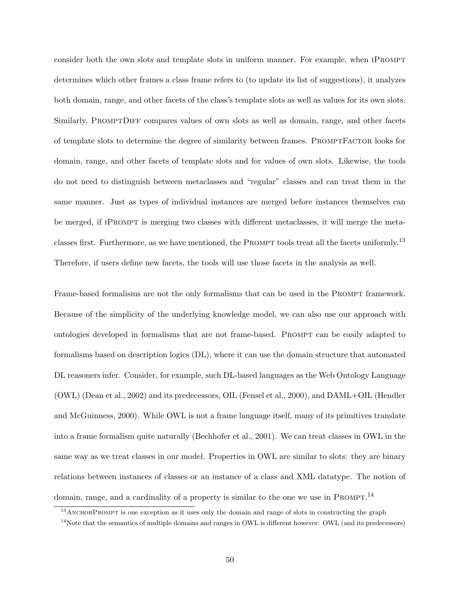consider both the own slots and template slots in uniform manner. For example, when IPROMPT determines which other frames a class frame refers to (to update its list of suggestions), it analyzes both domain, range, and other facets of the class's template slots as well as values for its own slots. Similarly, PROMPTDIFF compares values of own slots as well as domain, range, and other facets of template slots to determine the degree of similarity between frames. PromptFactor looks for domain, range, and other facets of template slots and for values of own slots. Likewise, the tools do not need to distinguish between metaclasses and "regular" classes and can treat them in the same manner. Just as types of individual instances are merged before instances themselves can be merged, if iPrompt is merging two classes with different metaclasses, it will merge the metaclasses first. Furthermore, as we have mentioned, the PROMPT tools treat all the facets uniformly.<sup>13</sup> Therefore, if users define new facets, the tools will use those facets in the analysis as well.

Frame-based formalisms are not the only formalisms that can be used in the PROMPT framework. Because of the simplicity of the underlying knowledge model, we can also use our approach with ontologies developed in formalisms that are not frame-based. Prompt can be easily adapted to formalisms based on description logics (DL), where it can use the domain structure that automated DL reasoners infer. Consider, for example, such DL-based languages as the Web Ontology Language (OWL) (Dean et al., 2002) and its predecessors, OIL (Fensel et al., 2000), and DAML+OIL (Hendler and McGuinness, 2000). While OWL is not a frame language itself, many of its primitives translate into a frame formalism quite naturally (Bechhofer et al., 2001). We can treat classes in OWL in the same way as we treat classes in our model. Properties in OWL are similar to slots: they are binary relations between instances of classes or an instance of a class and XML datatype. The notion of domain, range, and a cardinality of a property is similar to the one we use in PROMPT.<sup>14</sup>

 $13$ ANCHORPROMPT is one exception as it uses only the domain and range of slots in constructing the graph

 $14$ Note that the semantics of multiple domains and ranges in OWL is different however: OWL (and its predecessors)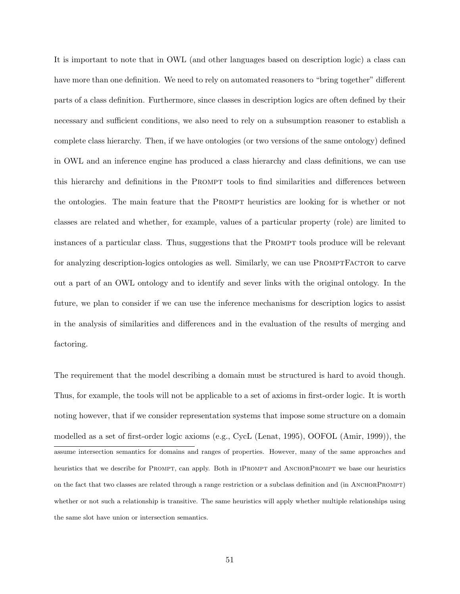It is important to note that in OWL (and other languages based on description logic) a class can have more than one definition. We need to rely on automated reasoners to "bring together" different parts of a class definition. Furthermore, since classes in description logics are often defined by their necessary and sufficient conditions, we also need to rely on a subsumption reasoner to establish a complete class hierarchy. Then, if we have ontologies (or two versions of the same ontology) defined in OWL and an inference engine has produced a class hierarchy and class definitions, we can use this hierarchy and definitions in the Prompt tools to find similarities and differences between the ontologies. The main feature that the Prompt heuristics are looking for is whether or not classes are related and whether, for example, values of a particular property (role) are limited to instances of a particular class. Thus, suggestions that the Prompt tools produce will be relevant for analyzing description-logics ontologies as well. Similarly, we can use PROMPTFACTOR to carve out a part of an OWL ontology and to identify and sever links with the original ontology. In the future, we plan to consider if we can use the inference mechanisms for description logics to assist in the analysis of similarities and differences and in the evaluation of the results of merging and factoring.

The requirement that the model describing a domain must be structured is hard to avoid though. Thus, for example, the tools will not be applicable to a set of axioms in first-order logic. It is worth noting however, that if we consider representation systems that impose some structure on a domain modelled as a set of first-order logic axioms (e.g., CycL (Lenat, 1995), OOFOL (Amir, 1999)), the assume intersection semantics for domains and ranges of properties. However, many of the same approaches and heuristics that we describe for PROMPT, can apply. Both in IPROMPT and ANCHORPROMPT we base our heuristics on the fact that two classes are related through a range restriction or a subclass definition and (in AnchorPrompt) whether or not such a relationship is transitive. The same heuristics will apply whether multiple relationships using the same slot have union or intersection semantics.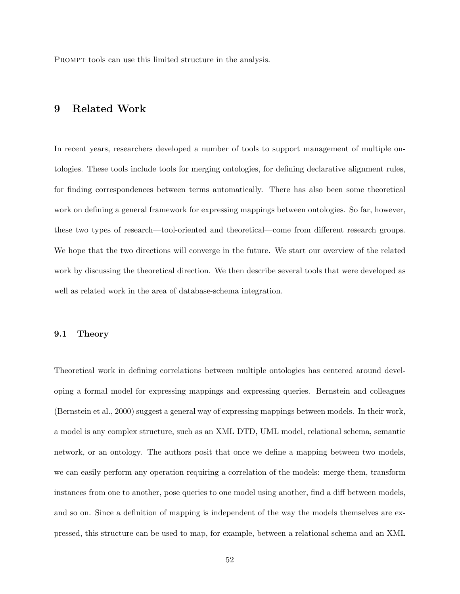PROMPT tools can use this limited structure in the analysis.

### 9 Related Work

In recent years, researchers developed a number of tools to support management of multiple ontologies. These tools include tools for merging ontologies, for defining declarative alignment rules, for finding correspondences between terms automatically. There has also been some theoretical work on defining a general framework for expressing mappings between ontologies. So far, however, these two types of research—tool-oriented and theoretical—come from different research groups. We hope that the two directions will converge in the future. We start our overview of the related work by discussing the theoretical direction. We then describe several tools that were developed as well as related work in the area of database-schema integration.

#### 9.1 Theory

Theoretical work in defining correlations between multiple ontologies has centered around developing a formal model for expressing mappings and expressing queries. Bernstein and colleagues (Bernstein et al., 2000) suggest a general way of expressing mappings between models. In their work, a model is any complex structure, such as an XML DTD, UML model, relational schema, semantic network, or an ontology. The authors posit that once we define a mapping between two models, we can easily perform any operation requiring a correlation of the models: merge them, transform instances from one to another, pose queries to one model using another, find a diff between models, and so on. Since a definition of mapping is independent of the way the models themselves are expressed, this structure can be used to map, for example, between a relational schema and an XML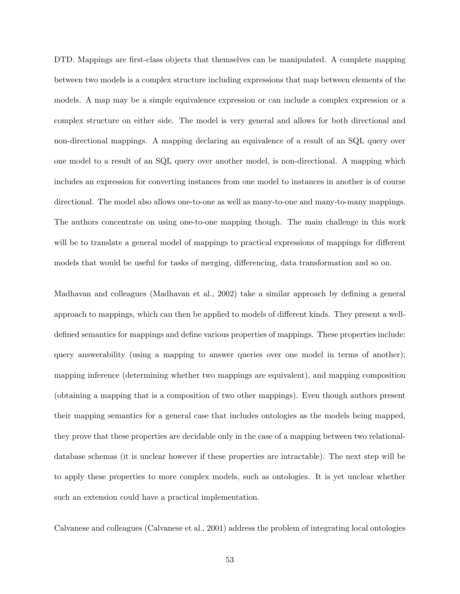DTD. Mappings are first-class objects that themselves can be manipulated. A complete mapping between two models is a complex structure including expressions that map between elements of the models. A map may be a simple equivalence expression or can include a complex expression or a complex structure on either side. The model is very general and allows for both directional and non-directional mappings. A mapping declaring an equivalence of a result of an SQL query over one model to a result of an SQL query over another model, is non-directional. A mapping which includes an expression for converting instances from one model to instances in another is of course directional. The model also allows one-to-one as well as many-to-one and many-to-many mappings. The authors concentrate on using one-to-one mapping though. The main challenge in this work will be to translate a general model of mappings to practical expressions of mappings for different models that would be useful for tasks of merging, differencing, data transformation and so on.

Madhavan and colleagues (Madhavan et al., 2002) take a similar approach by defining a general approach to mappings, which can then be applied to models of different kinds. They present a welldefined semantics for mappings and define various properties of mappings. These properties include: query answerability (using a mapping to answer queries over one model in terms of another); mapping inference (determining whether two mappings are equivalent), and mapping composition (obtaining a mapping that is a composition of two other mappings). Even though authors present their mapping semantics for a general case that includes ontologies as the models being mapped, they prove that these properties are decidable only in the case of a mapping between two relationaldatabase schemas (it is unclear however if these properties are intractable). The next step will be to apply these properties to more complex models, such as ontologies. It is yet unclear whether such an extension could have a practical implementation.

Calvanese and colleagues (Calvanese et al., 2001) address the problem of integrating local ontologies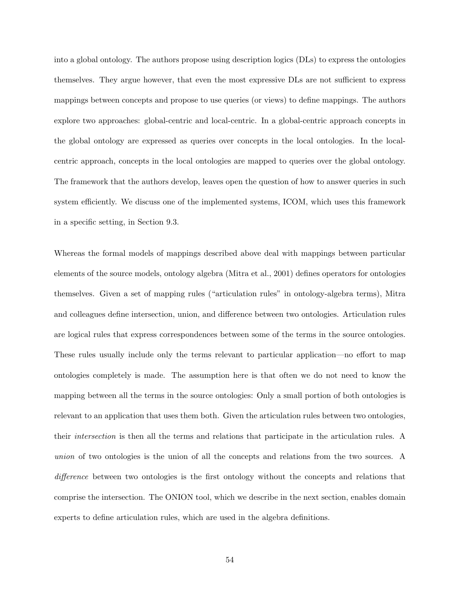into a global ontology. The authors propose using description logics (DLs) to express the ontologies themselves. They argue however, that even the most expressive DLs are not sufficient to express mappings between concepts and propose to use queries (or views) to define mappings. The authors explore two approaches: global-centric and local-centric. In a global-centric approach concepts in the global ontology are expressed as queries over concepts in the local ontologies. In the localcentric approach, concepts in the local ontologies are mapped to queries over the global ontology. The framework that the authors develop, leaves open the question of how to answer queries in such system efficiently. We discuss one of the implemented systems, ICOM, which uses this framework in a specific setting, in Section 9.3.

Whereas the formal models of mappings described above deal with mappings between particular elements of the source models, ontology algebra (Mitra et al., 2001) defines operators for ontologies themselves. Given a set of mapping rules ("articulation rules" in ontology-algebra terms), Mitra and colleagues define intersection, union, and difference between two ontologies. Articulation rules are logical rules that express correspondences between some of the terms in the source ontologies. These rules usually include only the terms relevant to particular application—no effort to map ontologies completely is made. The assumption here is that often we do not need to know the mapping between all the terms in the source ontologies: Only a small portion of both ontologies is relevant to an application that uses them both. Given the articulation rules between two ontologies, their intersection is then all the terms and relations that participate in the articulation rules. A union of two ontologies is the union of all the concepts and relations from the two sources. A difference between two ontologies is the first ontology without the concepts and relations that comprise the intersection. The ONION tool, which we describe in the next section, enables domain experts to define articulation rules, which are used in the algebra definitions.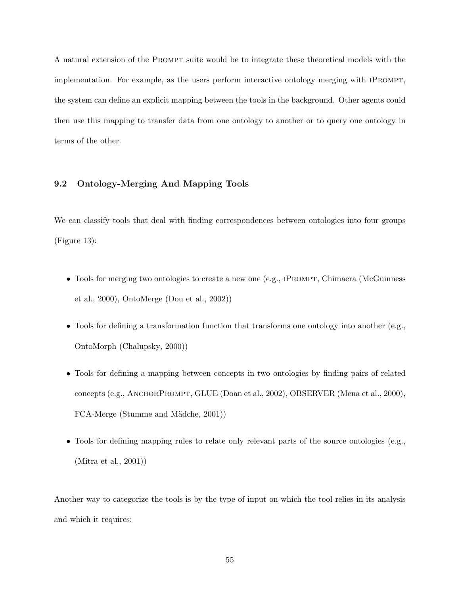A natural extension of the Prompt suite would be to integrate these theoretical models with the implementation. For example, as the users perform interactive ontology merging with IPROMPT, the system can define an explicit mapping between the tools in the background. Other agents could then use this mapping to transfer data from one ontology to another or to query one ontology in terms of the other.

#### 9.2 Ontology-Merging And Mapping Tools

We can classify tools that deal with finding correspondences between ontologies into four groups (Figure 13):

- Tools for merging two ontologies to create a new one (e.g., IPROMPT, Chimaera (McGuinness) et al., 2000), OntoMerge (Dou et al., 2002))
- Tools for defining a transformation function that transforms one ontology into another (e.g., OntoMorph (Chalupsky, 2000))
- Tools for defining a mapping between concepts in two ontologies by finding pairs of related concepts (e.g., AnchorPrompt, GLUE (Doan et al., 2002), OBSERVER (Mena et al., 2000), FCA-Merge (Stumme and Mädche, 2001))
- Tools for defining mapping rules to relate only relevant parts of the source ontologies (e.g., (Mitra et al., 2001))

Another way to categorize the tools is by the type of input on which the tool relies in its analysis and which it requires: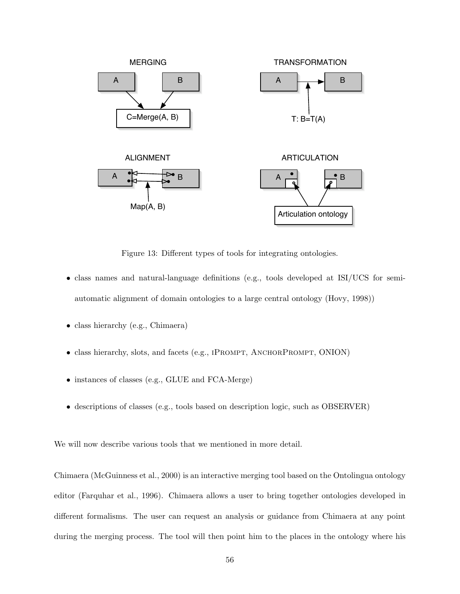

Figure 13: Different types of tools for integrating ontologies.

- class names and natural-language definitions (e.g., tools developed at ISI/UCS for semiautomatic alignment of domain ontologies to a large central ontology (Hovy, 1998))
- class hierarchy (e.g., Chimaera)
- class hierarchy, slots, and facets (e.g., IPROMPT, ANCHORPROMPT, ONION)
- instances of classes (e.g., GLUE and FCA-Merge)
- descriptions of classes (e.g., tools based on description logic, such as OBSERVER)

We will now describe various tools that we mentioned in more detail.

Chimaera (McGuinness et al., 2000) is an interactive merging tool based on the Ontolingua ontology editor (Farquhar et al., 1996). Chimaera allows a user to bring together ontologies developed in different formalisms. The user can request an analysis or guidance from Chimaera at any point during the merging process. The tool will then point him to the places in the ontology where his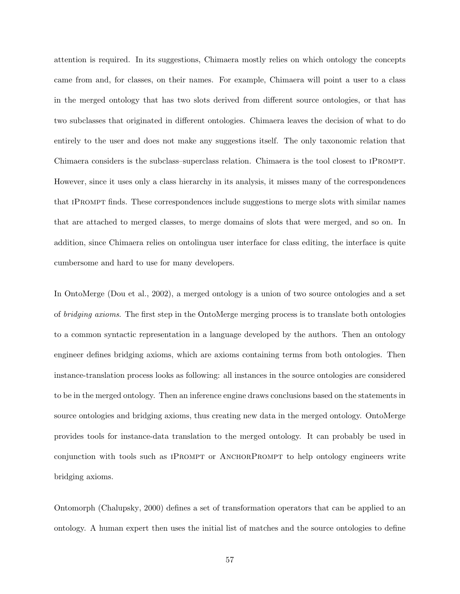attention is required. In its suggestions, Chimaera mostly relies on which ontology the concepts came from and, for classes, on their names. For example, Chimaera will point a user to a class in the merged ontology that has two slots derived from different source ontologies, or that has two subclasses that originated in different ontologies. Chimaera leaves the decision of what to do entirely to the user and does not make any suggestions itself. The only taxonomic relation that Chimaera considers is the subclass–superclass relation. Chimaera is the tool closest to iPrompt. However, since it uses only a class hierarchy in its analysis, it misses many of the correspondences that iPrompt finds. These correspondences include suggestions to merge slots with similar names that are attached to merged classes, to merge domains of slots that were merged, and so on. In addition, since Chimaera relies on ontolingua user interface for class editing, the interface is quite cumbersome and hard to use for many developers.

In OntoMerge (Dou et al., 2002), a merged ontology is a union of two source ontologies and a set of bridging axioms. The first step in the OntoMerge merging process is to translate both ontologies to a common syntactic representation in a language developed by the authors. Then an ontology engineer defines bridging axioms, which are axioms containing terms from both ontologies. Then instance-translation process looks as following: all instances in the source ontologies are considered to be in the merged ontology. Then an inference engine draws conclusions based on the statements in source ontologies and bridging axioms, thus creating new data in the merged ontology. OntoMerge provides tools for instance-data translation to the merged ontology. It can probably be used in conjunction with tools such as IPROMPT or ANCHORPROMPT to help ontology engineers write bridging axioms.

Ontomorph (Chalupsky, 2000) defines a set of transformation operators that can be applied to an ontology. A human expert then uses the initial list of matches and the source ontologies to define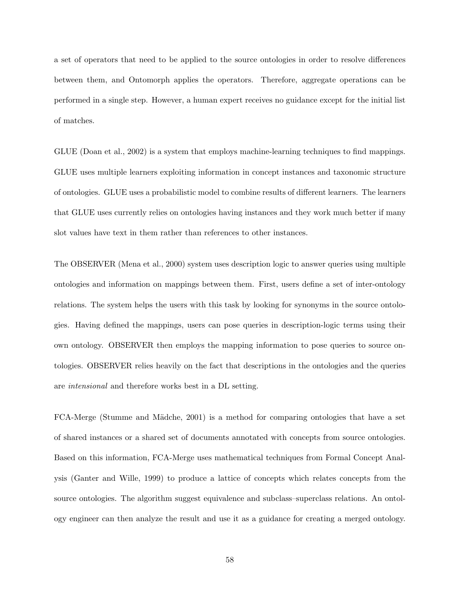a set of operators that need to be applied to the source ontologies in order to resolve differences between them, and Ontomorph applies the operators. Therefore, aggregate operations can be performed in a single step. However, a human expert receives no guidance except for the initial list of matches.

GLUE (Doan et al., 2002) is a system that employs machine-learning techniques to find mappings. GLUE uses multiple learners exploiting information in concept instances and taxonomic structure of ontologies. GLUE uses a probabilistic model to combine results of different learners. The learners that GLUE uses currently relies on ontologies having instances and they work much better if many slot values have text in them rather than references to other instances.

The OBSERVER (Mena et al., 2000) system uses description logic to answer queries using multiple ontologies and information on mappings between them. First, users define a set of inter-ontology relations. The system helps the users with this task by looking for synonyms in the source ontologies. Having defined the mappings, users can pose queries in description-logic terms using their own ontology. OBSERVER then employs the mapping information to pose queries to source ontologies. OBSERVER relies heavily on the fact that descriptions in the ontologies and the queries are intensional and therefore works best in a DL setting.

FCA-Merge (Stumme and Mädche, 2001) is a method for comparing ontologies that have a set of shared instances or a shared set of documents annotated with concepts from source ontologies. Based on this information, FCA-Merge uses mathematical techniques from Formal Concept Analysis (Ganter and Wille, 1999) to produce a lattice of concepts which relates concepts from the source ontologies. The algorithm suggest equivalence and subclass–superclass relations. An ontology engineer can then analyze the result and use it as a guidance for creating a merged ontology.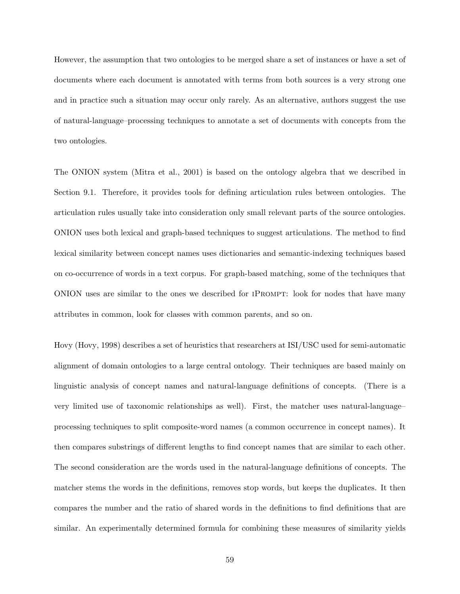However, the assumption that two ontologies to be merged share a set of instances or have a set of documents where each document is annotated with terms from both sources is a very strong one and in practice such a situation may occur only rarely. As an alternative, authors suggest the use of natural-language–processing techniques to annotate a set of documents with concepts from the two ontologies.

The ONION system (Mitra et al., 2001) is based on the ontology algebra that we described in Section 9.1. Therefore, it provides tools for defining articulation rules between ontologies. The articulation rules usually take into consideration only small relevant parts of the source ontologies. ONION uses both lexical and graph-based techniques to suggest articulations. The method to find lexical similarity between concept names uses dictionaries and semantic-indexing techniques based on co-occurrence of words in a text corpus. For graph-based matching, some of the techniques that ONION uses are similar to the ones we described for iPrompt: look for nodes that have many attributes in common, look for classes with common parents, and so on.

Hovy (Hovy, 1998) describes a set of heuristics that researchers at ISI/USC used for semi-automatic alignment of domain ontologies to a large central ontology. Their techniques are based mainly on linguistic analysis of concept names and natural-language definitions of concepts. (There is a very limited use of taxonomic relationships as well). First, the matcher uses natural-language– processing techniques to split composite-word names (a common occurrence in concept names). It then compares substrings of different lengths to find concept names that are similar to each other. The second consideration are the words used in the natural-language definitions of concepts. The matcher stems the words in the definitions, removes stop words, but keeps the duplicates. It then compares the number and the ratio of shared words in the definitions to find definitions that are similar. An experimentally determined formula for combining these measures of similarity yields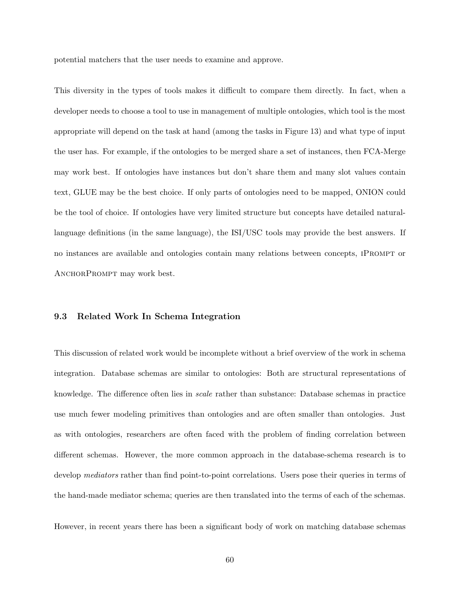potential matchers that the user needs to examine and approve.

This diversity in the types of tools makes it difficult to compare them directly. In fact, when a developer needs to choose a tool to use in management of multiple ontologies, which tool is the most appropriate will depend on the task at hand (among the tasks in Figure 13) and what type of input the user has. For example, if the ontologies to be merged share a set of instances, then FCA-Merge may work best. If ontologies have instances but don't share them and many slot values contain text, GLUE may be the best choice. If only parts of ontologies need to be mapped, ONION could be the tool of choice. If ontologies have very limited structure but concepts have detailed naturallanguage definitions (in the same language), the ISI/USC tools may provide the best answers. If no instances are available and ontologies contain many relations between concepts, iPrompt or ANCHORPROMPT may work best.

#### 9.3 Related Work In Schema Integration

This discussion of related work would be incomplete without a brief overview of the work in schema integration. Database schemas are similar to ontologies: Both are structural representations of knowledge. The difference often lies in scale rather than substance: Database schemas in practice use much fewer modeling primitives than ontologies and are often smaller than ontologies. Just as with ontologies, researchers are often faced with the problem of finding correlation between different schemas. However, the more common approach in the database-schema research is to develop *mediators* rather than find point-to-point correlations. Users pose their queries in terms of the hand-made mediator schema; queries are then translated into the terms of each of the schemas.

However, in recent years there has been a significant body of work on matching database schemas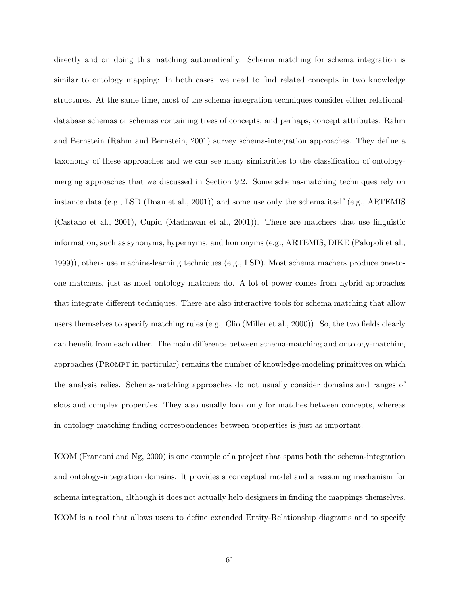directly and on doing this matching automatically. Schema matching for schema integration is similar to ontology mapping: In both cases, we need to find related concepts in two knowledge structures. At the same time, most of the schema-integration techniques consider either relationaldatabase schemas or schemas containing trees of concepts, and perhaps, concept attributes. Rahm and Bernstein (Rahm and Bernstein, 2001) survey schema-integration approaches. They define a taxonomy of these approaches and we can see many similarities to the classification of ontologymerging approaches that we discussed in Section 9.2. Some schema-matching techniques rely on instance data (e.g., LSD (Doan et al., 2001)) and some use only the schema itself (e.g., ARTEMIS (Castano et al., 2001), Cupid (Madhavan et al., 2001)). There are matchers that use linguistic information, such as synonyms, hypernyms, and homonyms (e.g., ARTEMIS, DIKE (Palopoli et al., 1999)), others use machine-learning techniques (e.g., LSD). Most schema machers produce one-toone matchers, just as most ontology matchers do. A lot of power comes from hybrid approaches that integrate different techniques. There are also interactive tools for schema matching that allow users themselves to specify matching rules (e.g., Clio (Miller et al., 2000)). So, the two fields clearly can benefit from each other. The main difference between schema-matching and ontology-matching approaches (Prompt in particular) remains the number of knowledge-modeling primitives on which the analysis relies. Schema-matching approaches do not usually consider domains and ranges of slots and complex properties. They also usually look only for matches between concepts, whereas in ontology matching finding correspondences between properties is just as important.

ICOM (Franconi and Ng, 2000) is one example of a project that spans both the schema-integration and ontology-integration domains. It provides a conceptual model and a reasoning mechanism for schema integration, although it does not actually help designers in finding the mappings themselves. ICOM is a tool that allows users to define extended Entity-Relationship diagrams and to specify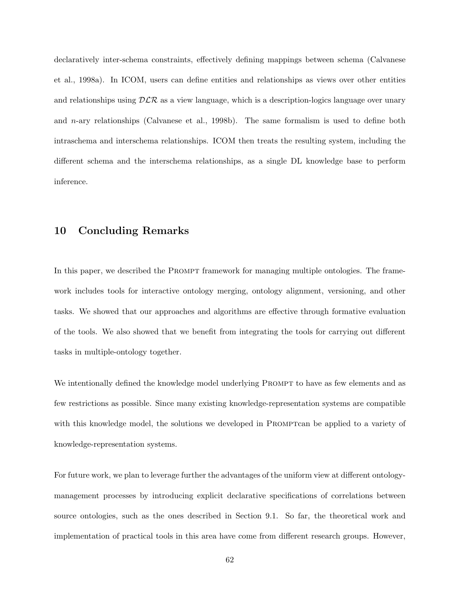declaratively inter-schema constraints, effectively defining mappings between schema (Calvanese et al., 1998a). In ICOM, users can define entities and relationships as views over other entities and relationships using  $D\mathcal{L}\mathcal{R}$  as a view language, which is a description-logics language over unary and n-ary relationships (Calvanese et al., 1998b). The same formalism is used to define both intraschema and interschema relationships. ICOM then treats the resulting system, including the different schema and the interschema relationships, as a single DL knowledge base to perform inference.

## 10 Concluding Remarks

In this paper, we described the PROMPT framework for managing multiple ontologies. The framework includes tools for interactive ontology merging, ontology alignment, versioning, and other tasks. We showed that our approaches and algorithms are effective through formative evaluation of the tools. We also showed that we benefit from integrating the tools for carrying out different tasks in multiple-ontology together.

We intentionally defined the knowledge model underlying PROMPT to have as few elements and as few restrictions as possible. Since many existing knowledge-representation systems are compatible with this knowledge model, the solutions we developed in PROMPTCan be applied to a variety of knowledge-representation systems.

For future work, we plan to leverage further the advantages of the uniform view at different ontologymanagement processes by introducing explicit declarative specifications of correlations between source ontologies, such as the ones described in Section 9.1. So far, the theoretical work and implementation of practical tools in this area have come from different research groups. However,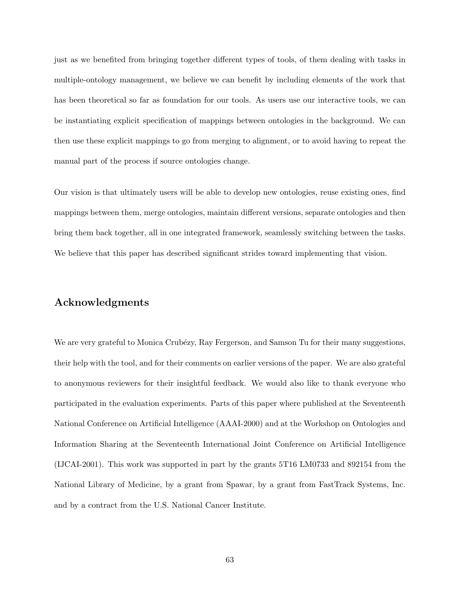just as we benefited from bringing together different types of tools, of them dealing with tasks in multiple-ontology management, we believe we can benefit by including elements of the work that has been theoretical so far as foundation for our tools. As users use our interactive tools, we can be instantiating explicit specification of mappings between ontologies in the background. We can then use these explicit mappings to go from merging to alignment, or to avoid having to repeat the manual part of the process if source ontologies change.

Our vision is that ultimately users will be able to develop new ontologies, reuse existing ones, find mappings between them, merge ontologies, maintain different versions, separate ontologies and then bring them back together, all in one integrated framework, seamlessly switching between the tasks. We believe that this paper has described significant strides toward implementing that vision.

# Acknowledgments

We are very grateful to Monica Crubézy, Ray Fergerson, and Samson Tu for their many suggestions, their help with the tool, and for their comments on earlier versions of the paper. We are also grateful to anonymous reviewers for their insightful feedback. We would also like to thank everyone who participated in the evaluation experiments. Parts of this paper where published at the Seventeenth National Conference on Artificial Intelligence (AAAI-2000) and at the Workshop on Ontologies and Information Sharing at the Seventeenth International Joint Conference on Artificial Intelligence (IJCAI-2001). This work was supported in part by the grants 5T16 LM0733 and 892154 from the National Library of Medicine, by a grant from Spawar, by a grant from FastTrack Systems, Inc. and by a contract from the U.S. National Cancer Institute.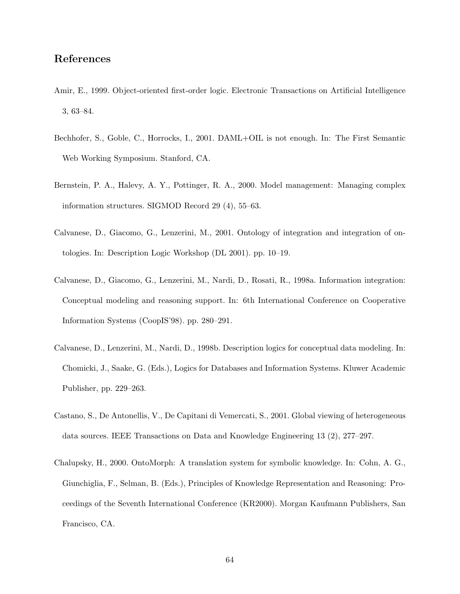# References

- Amir, E., 1999. Object-oriented first-order logic. Electronic Transactions on Artificial Intelligence 3, 63–84.
- Bechhofer, S., Goble, C., Horrocks, I., 2001. DAML+OIL is not enough. In: The First Semantic Web Working Symposium. Stanford, CA.
- Bernstein, P. A., Halevy, A. Y., Pottinger, R. A., 2000. Model management: Managing complex information structures. SIGMOD Record 29 (4), 55–63.
- Calvanese, D., Giacomo, G., Lenzerini, M., 2001. Ontology of integration and integration of ontologies. In: Description Logic Workshop (DL 2001). pp. 10–19.
- Calvanese, D., Giacomo, G., Lenzerini, M., Nardi, D., Rosati, R., 1998a. Information integration: Conceptual modeling and reasoning support. In: 6th International Conference on Cooperative Information Systems (CoopIS'98). pp. 280–291.
- Calvanese, D., Lenzerini, M., Nardi, D., 1998b. Description logics for conceptual data modeling. In: Chomicki, J., Saake, G. (Eds.), Logics for Databases and Information Systems. Kluwer Academic Publisher, pp. 229–263.
- Castano, S., De Antonellis, V., De Capitani di Vemercati, S., 2001. Global viewing of heterogeneous data sources. IEEE Transactions on Data and Knowledge Engineering 13 (2), 277–297.
- Chalupsky, H., 2000. OntoMorph: A translation system for symbolic knowledge. In: Cohn, A. G., Giunchiglia, F., Selman, B. (Eds.), Principles of Knowledge Representation and Reasoning: Proceedings of the Seventh International Conference (KR2000). Morgan Kaufmann Publishers, San Francisco, CA.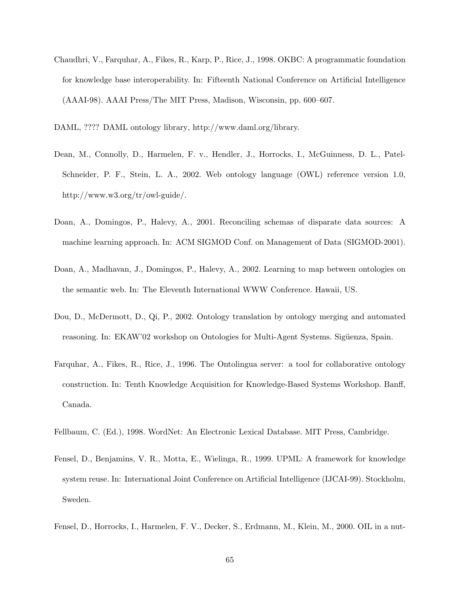- Chaudhri, V., Farquhar, A., Fikes, R., Karp, P., Rice, J., 1998. OKBC: A programmatic foundation for knowledge base interoperability. In: Fifteenth National Conference on Artificial Intelligence (AAAI-98). AAAI Press/The MIT Press, Madison, Wisconsin, pp. 600–607.
- DAML, ???? DAML ontology library, http://www.daml.org/library.
- Dean, M., Connolly, D., Harmelen, F. v., Hendler, J., Horrocks, I., McGuinness, D. L., Patel-Schneider, P. F., Stein, L. A., 2002. Web ontology language (OWL) reference version 1.0, http://www.w3.org/tr/owl-guide/.
- Doan, A., Domingos, P., Halevy, A., 2001. Reconciling schemas of disparate data sources: A machine learning approach. In: ACM SIGMOD Conf. on Management of Data (SIGMOD-2001).
- Doan, A., Madhavan, J., Domingos, P., Halevy, A., 2002. Learning to map between ontologies on the semantic web. In: The Eleventh International WWW Conference. Hawaii, US.
- Dou, D., McDermott, D., Qi, P., 2002. Ontology translation by ontology merging and automated reasoning. In: EKAW'02 workshop on Ontologies for Multi-Agent Systems. Sigüenza, Spain.
- Farquhar, A., Fikes, R., Rice, J., 1996. The Ontolingua server: a tool for collaborative ontology construction. In: Tenth Knowledge Acquisition for Knowledge-Based Systems Workshop. Banff, Canada.
- Fellbaum, C. (Ed.), 1998. WordNet: An Electronic Lexical Database. MIT Press, Cambridge.
- Fensel, D., Benjamins, V. R., Motta, E., Wielinga, R., 1999. UPML: A framework for knowledge system reuse. In: International Joint Conference on Artificial Intelligence (IJCAI-99). Stockholm, Sweden.
- Fensel, D., Horrocks, I., Harmelen, F. V., Decker, S., Erdmann, M., Klein, M., 2000. OIL in a nut-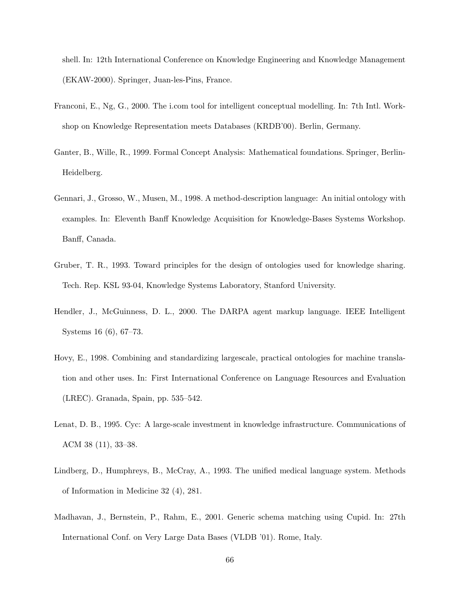shell. In: 12th International Conference on Knowledge Engineering and Knowledge Management (EKAW-2000). Springer, Juan-les-Pins, France.

- Franconi, E., Ng, G., 2000. The i.com tool for intelligent conceptual modelling. In: 7th Intl. Workshop on Knowledge Representation meets Databases (KRDB'00). Berlin, Germany.
- Ganter, B., Wille, R., 1999. Formal Concept Analysis: Mathematical foundations. Springer, Berlin-Heidelberg.
- Gennari, J., Grosso, W., Musen, M., 1998. A method-description language: An initial ontology with examples. In: Eleventh Banff Knowledge Acquisition for Knowledge-Bases Systems Workshop. Banff, Canada.
- Gruber, T. R., 1993. Toward principles for the design of ontologies used for knowledge sharing. Tech. Rep. KSL 93-04, Knowledge Systems Laboratory, Stanford University.
- Hendler, J., McGuinness, D. L., 2000. The DARPA agent markup language. IEEE Intelligent Systems 16 (6), 67–73.
- Hovy, E., 1998. Combining and standardizing largescale, practical ontologies for machine translation and other uses. In: First International Conference on Language Resources and Evaluation (LREC). Granada, Spain, pp. 535–542.
- Lenat, D. B., 1995. Cyc: A large-scale investment in knowledge infrastructure. Communications of ACM 38 (11), 33–38.
- Lindberg, D., Humphreys, B., McCray, A., 1993. The unified medical language system. Methods of Information in Medicine 32 (4), 281.
- Madhavan, J., Bernstein, P., Rahm, E., 2001. Generic schema matching using Cupid. In: 27th International Conf. on Very Large Data Bases (VLDB '01). Rome, Italy.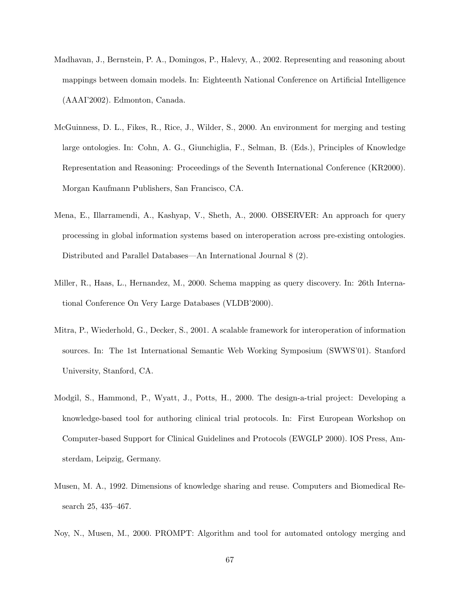- Madhavan, J., Bernstein, P. A., Domingos, P., Halevy, A., 2002. Representing and reasoning about mappings between domain models. In: Eighteenth National Conference on Artificial Intelligence (AAAI'2002). Edmonton, Canada.
- McGuinness, D. L., Fikes, R., Rice, J., Wilder, S., 2000. An environment for merging and testing large ontologies. In: Cohn, A. G., Giunchiglia, F., Selman, B. (Eds.), Principles of Knowledge Representation and Reasoning: Proceedings of the Seventh International Conference (KR2000). Morgan Kaufmann Publishers, San Francisco, CA.
- Mena, E., Illarramendi, A., Kashyap, V., Sheth, A., 2000. OBSERVER: An approach for query processing in global information systems based on interoperation across pre-existing ontologies. Distributed and Parallel Databases—An International Journal 8 (2).
- Miller, R., Haas, L., Hernandez, M., 2000. Schema mapping as query discovery. In: 26th International Conference On Very Large Databases (VLDB'2000).
- Mitra, P., Wiederhold, G., Decker, S., 2001. A scalable framework for interoperation of information sources. In: The 1st International Semantic Web Working Symposium (SWWS'01). Stanford University, Stanford, CA.
- Modgil, S., Hammond, P., Wyatt, J., Potts, H., 2000. The design-a-trial project: Developing a knowledge-based tool for authoring clinical trial protocols. In: First European Workshop on Computer-based Support for Clinical Guidelines and Protocols (EWGLP 2000). IOS Press, Amsterdam, Leipzig, Germany.
- Musen, M. A., 1992. Dimensions of knowledge sharing and reuse. Computers and Biomedical Research 25, 435–467.
- Noy, N., Musen, M., 2000. PROMPT: Algorithm and tool for automated ontology merging and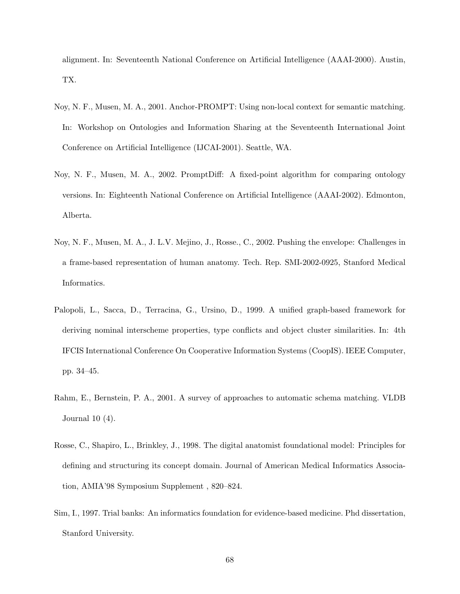alignment. In: Seventeenth National Conference on Artificial Intelligence (AAAI-2000). Austin, TX.

- Noy, N. F., Musen, M. A., 2001. Anchor-PROMPT: Using non-local context for semantic matching. In: Workshop on Ontologies and Information Sharing at the Seventeenth International Joint Conference on Artificial Intelligence (IJCAI-2001). Seattle, WA.
- Noy, N. F., Musen, M. A., 2002. PromptDiff: A fixed-point algorithm for comparing ontology versions. In: Eighteenth National Conference on Artificial Intelligence (AAAI-2002). Edmonton, Alberta.
- Noy, N. F., Musen, M. A., J. L.V. Mejino, J., Rosse., C., 2002. Pushing the envelope: Challenges in a frame-based representation of human anatomy. Tech. Rep. SMI-2002-0925, Stanford Medical Informatics.
- Palopoli, L., Sacca, D., Terracina, G., Ursino, D., 1999. A unified graph-based framework for deriving nominal interscheme properties, type conflicts and object cluster similarities. In: 4th IFCIS International Conference On Cooperative Information Systems (CoopIS). IEEE Computer, pp. 34–45.
- Rahm, E., Bernstein, P. A., 2001. A survey of approaches to automatic schema matching. VLDB Journal 10 (4).
- Rosse, C., Shapiro, L., Brinkley, J., 1998. The digital anatomist foundational model: Principles for defining and structuring its concept domain. Journal of American Medical Informatics Association, AMIA'98 Symposium Supplement , 820–824.
- Sim, I., 1997. Trial banks: An informatics foundation for evidence-based medicine. Phd dissertation, Stanford University.